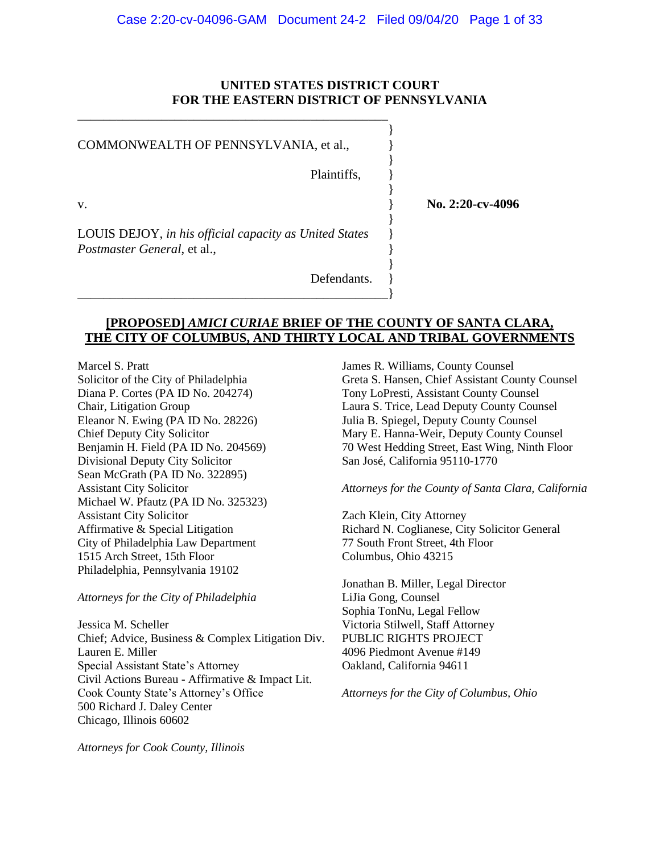### **UNITED STATES DISTRICT COURT FOR THE EASTERN DISTRICT OF PENNSYLVANIA**

COMMONWEALTH OF PENNSYLVANIA, et al.,

\_\_\_\_\_\_\_\_\_\_\_\_\_\_\_\_\_\_\_\_\_\_\_\_\_\_\_\_\_\_\_\_\_\_\_\_\_\_\_\_\_\_\_\_\_\_\_\_

Plaintiffs.

}

}

}

}

}

v. **No. 2:20-cv-4096** 

LOUIS DEJOY, *in his official capacity as United States* } *Postmaster General*, et al.,

\_\_\_\_\_\_\_\_\_\_\_\_\_\_\_\_\_\_\_\_\_\_\_\_\_\_\_\_\_\_\_\_\_\_\_\_\_\_\_\_\_\_\_\_\_\_\_\_}

Defendants.

## **[PROPOSED]** *AMICI CURIAE* **BRIEF OF THE COUNTY OF SANTA CLARA, THE CITY OF COLUMBUS, AND THIRTY LOCAL AND TRIBAL GOVERNMENTS**

Marcel S. Pratt Solicitor of the City of Philadelphia Diana P. Cortes (PA ID No. 204274) Chair, Litigation Group Eleanor N. Ewing (PA ID No. 28226) Chief Deputy City Solicitor Benjamin H. Field (PA ID No. 204569) Divisional Deputy City Solicitor Sean McGrath (PA ID No. 322895) Assistant City Solicitor Michael W. Pfautz (PA ID No. 325323) Assistant City Solicitor Affirmative & Special Litigation City of Philadelphia Law Department 1515 Arch Street, 15th Floor Philadelphia, Pennsylvania 19102

*Attorneys for the City of Philadelphia*

Jessica M. Scheller Chief; Advice, Business & Complex Litigation Div. Lauren E. Miller Special Assistant State's Attorney Civil Actions Bureau - Affirmative & Impact Lit. Cook County State's Attorney's Office 500 Richard J. Daley Center Chicago, Illinois 60602

James R. Williams, County Counsel Greta S. Hansen, Chief Assistant County Counsel Tony LoPresti, Assistant County Counsel Laura S. Trice, Lead Deputy County Counsel Julia B. Spiegel, Deputy County Counsel Mary E. Hanna-Weir, Deputy County Counsel 70 West Hedding Street, East Wing, Ninth Floor San José, California 95110-1770

*Attorneys for the County of Santa Clara, California*

Zach Klein, City Attorney Richard N. Coglianese, City Solicitor General 77 South Front Street, 4th Floor Columbus, Ohio 43215

Jonathan B. Miller, Legal Director LiJia Gong, Counsel Sophia TonNu, Legal Fellow Victoria Stilwell, Staff Attorney PUBLIC RIGHTS PROJECT 4096 Piedmont Avenue #149 Oakland, California 94611

*Attorneys for the City of Columbus, Ohio*

*Attorneys for Cook County, Illinois*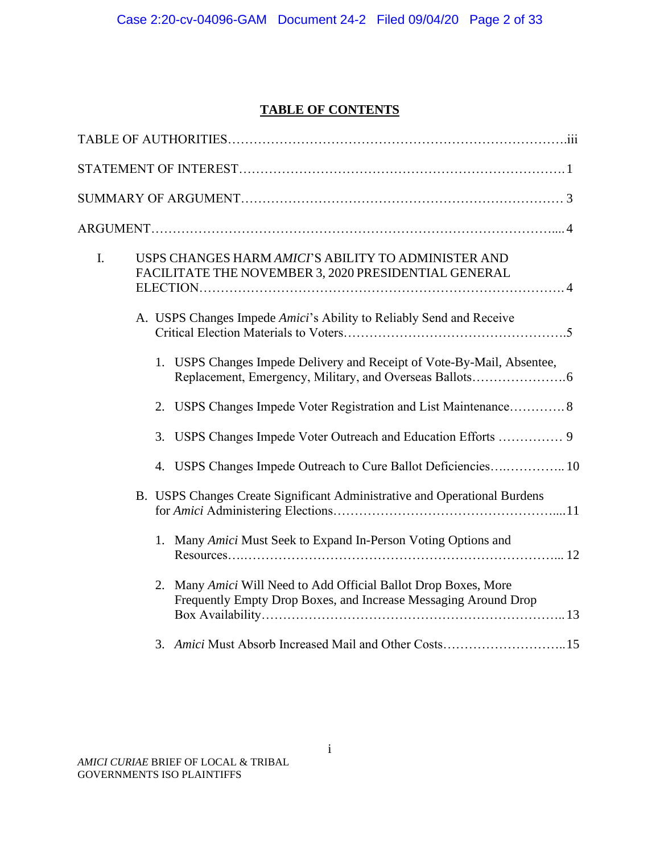# **TABLE OF CONTENTS**

| I. |    | USPS CHANGES HARM AMICI'S ABILITY TO ADMINISTER AND<br>FACILITATE THE NOVEMBER 3, 2020 PRESIDENTIAL GENERAL                        |
|----|----|------------------------------------------------------------------------------------------------------------------------------------|
|    |    | A. USPS Changes Impede Amici's Ability to Reliably Send and Receive                                                                |
|    |    | 1. USPS Changes Impede Delivery and Receipt of Vote-By-Mail, Absentee,                                                             |
|    |    | 2. USPS Changes Impede Voter Registration and List Maintenance 8                                                                   |
|    | 3. | USPS Changes Impede Voter Outreach and Education Efforts  9                                                                        |
|    |    | 4. USPS Changes Impede Outreach to Cure Ballot Deficiencies 10                                                                     |
|    |    | B. USPS Changes Create Significant Administrative and Operational Burdens                                                          |
|    |    | 1. Many Amici Must Seek to Expand In-Person Voting Options and                                                                     |
|    |    | 2. Many Amici Will Need to Add Official Ballot Drop Boxes, More<br>Frequently Empty Drop Boxes, and Increase Messaging Around Drop |
|    |    | 3. Amici Must Absorb Increased Mail and Other Costs15                                                                              |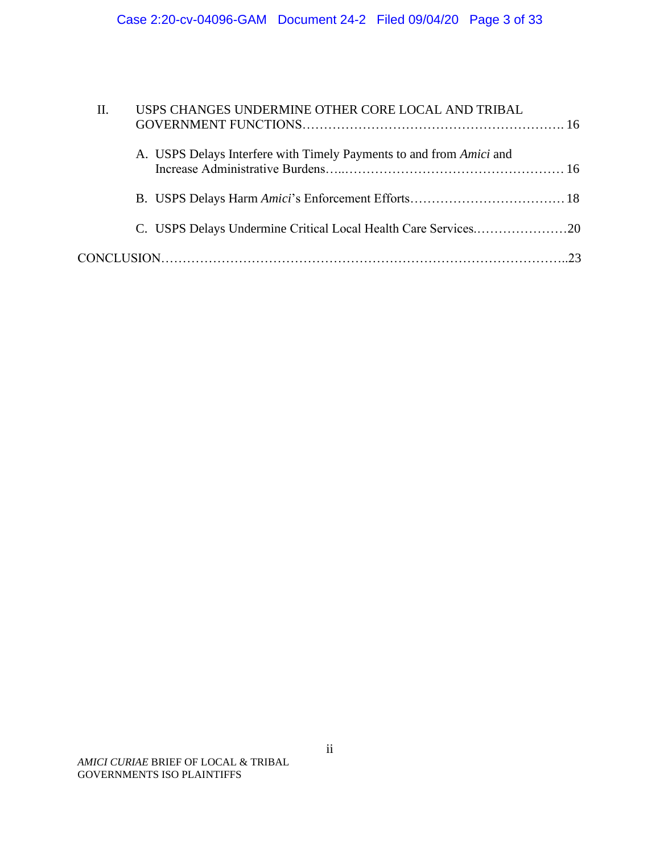| II. | USPS CHANGES UNDERMINE OTHER CORE LOCAL AND TRIBAL                  |
|-----|---------------------------------------------------------------------|
|     | A. USPS Delays Interfere with Timely Payments to and from Amici and |
|     |                                                                     |
|     | C. USPS Delays Undermine Critical Local Health Care Services20      |
|     |                                                                     |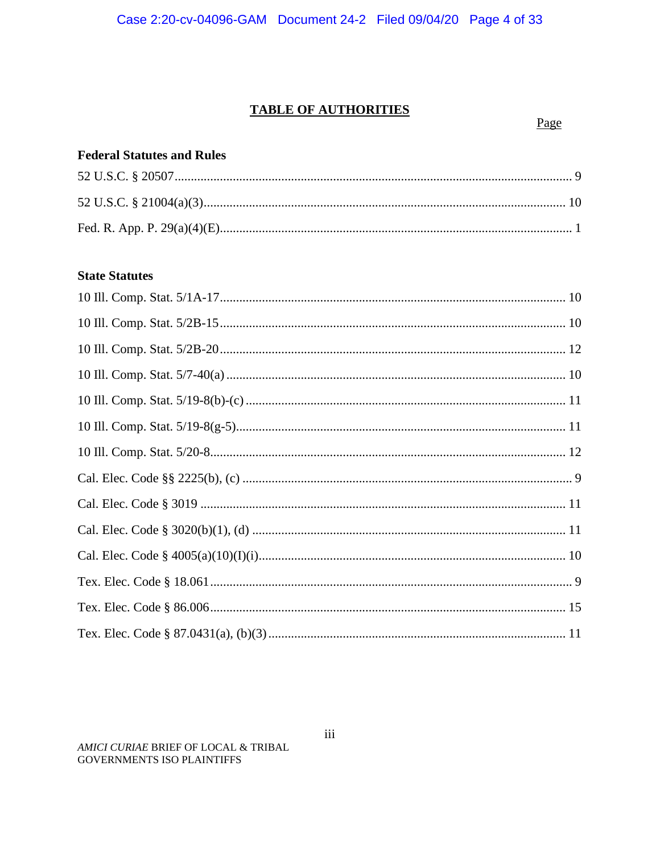# **TABLE OF AUTHORITIES**

Page

## **Federal Statutes and Rules**

# **State Statutes**

AMICI CURIAE BRIEF OF LOCAL & TRIBAL **GOVERNMENTS ISO PLAINTIFFS**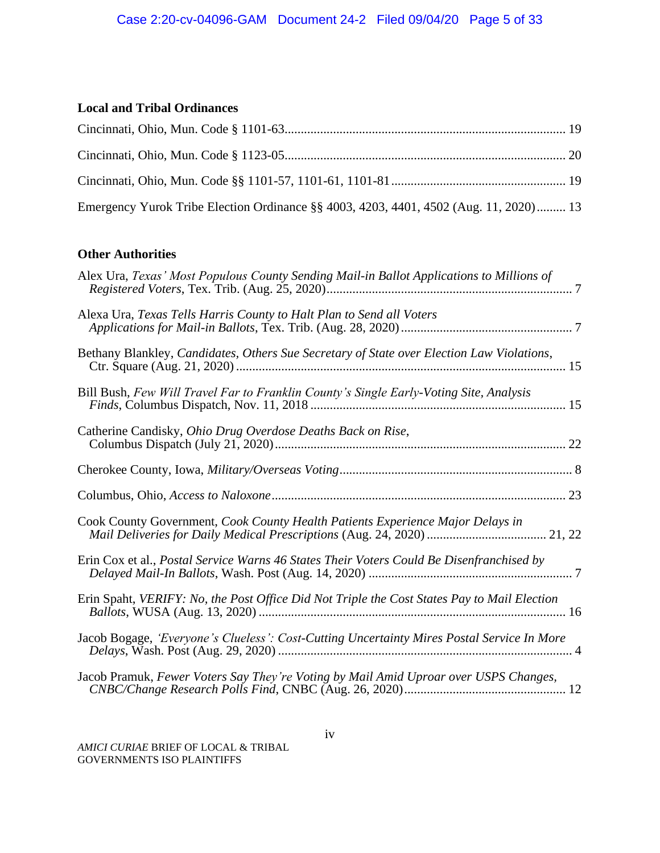# **Local and Tribal Ordinances**

| Emergency Yurok Tribe Election Ordinance §§ 4003, 4203, 4401, 4502 (Aug. 11, 2020) 13 |  |
|---------------------------------------------------------------------------------------|--|

# **Other Authorities**

| Alex Ura, Texas' Most Populous County Sending Mail-in Ballot Applications to Millions of    |
|---------------------------------------------------------------------------------------------|
| Alexa Ura, Texas Tells Harris County to Halt Plan to Send all Voters                        |
| Bethany Blankley, Candidates, Others Sue Secretary of State over Election Law Violations,   |
| Bill Bush, Few Will Travel Far to Franklin County's Single Early-Voting Site, Analysis      |
| Catherine Candisky, Ohio Drug Overdose Deaths Back on Rise,                                 |
|                                                                                             |
|                                                                                             |
| Cook County Government, Cook County Health Patients Experience Major Delays in              |
| Erin Cox et al., Postal Service Warns 46 States Their Voters Could Be Disenfranchised by    |
| Erin Spaht, VERIFY: No, the Post Office Did Not Triple the Cost States Pay to Mail Election |
| Jacob Bogage, 'Everyone's Clueless': Cost-Cutting Uncertainty Mires Postal Service In More  |
| Jacob Pramuk, Fewer Voters Say They're Voting by Mail Amid Uproar over USPS Changes,        |

*AMICI CURIAE* BRIEF OF LOCAL & TRIBAL GOVERNMENTS ISO PLAINTIFFS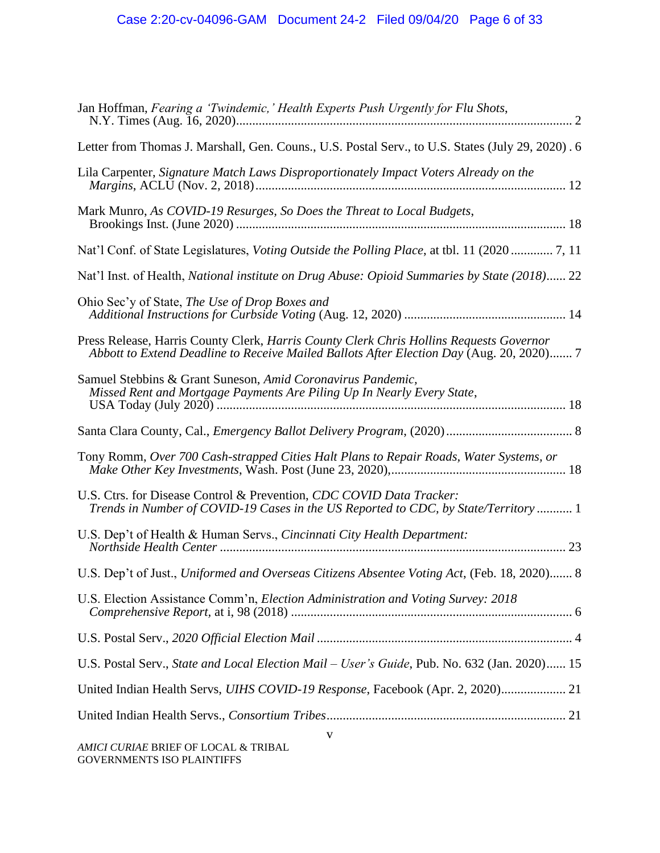| Jan Hoffman, Fearing a 'Twindemic,' Health Experts Push Urgently for Flu Shots,                                                                                                     |
|-------------------------------------------------------------------------------------------------------------------------------------------------------------------------------------|
| Letter from Thomas J. Marshall, Gen. Couns., U.S. Postal Serv., to U.S. States (July 29, 2020). 6                                                                                   |
| Lila Carpenter, Signature Match Laws Disproportionately Impact Voters Already on the                                                                                                |
| Mark Munro, As COVID-19 Resurges, So Does the Threat to Local Budgets,                                                                                                              |
| Nat'l Conf. of State Legislatures, <i>Voting Outside the Polling Place</i> , at tbl. 11 (2020  7, 11                                                                                |
| Nat'l Inst. of Health, National institute on Drug Abuse: Opioid Summaries by State (2018) 22                                                                                        |
| Ohio Sec'y of State, The Use of Drop Boxes and                                                                                                                                      |
| Press Release, Harris County Clerk, Harris County Clerk Chris Hollins Requests Governor<br>Abbott to Extend Deadline to Receive Mailed Ballots After Election Day (Aug. 20, 2020) 7 |
| Samuel Stebbins & Grant Suneson, Amid Coronavirus Pandemic,<br>Missed Rent and Mortgage Payments Are Piling Up In Nearly Every State,                                               |
|                                                                                                                                                                                     |
| Tony Romm, Over 700 Cash-strapped Cities Halt Plans to Repair Roads, Water Systems, or                                                                                              |
| U.S. Ctrs. for Disease Control & Prevention, CDC COVID Data Tracker:<br>Trends in Number of COVID-19 Cases in the US Reported to CDC, by State/Territory  1                         |
| U.S. Dep't of Health & Human Servs., Cincinnati City Health Department:                                                                                                             |
| U.S. Dep't of Just., Uniformed and Overseas Citizens Absentee Voting Act, (Feb. 18, 2020) 8                                                                                         |
| U.S. Election Assistance Comm'n, Election Administration and Voting Survey: 2018                                                                                                    |
|                                                                                                                                                                                     |
| U.S. Postal Serv., State and Local Election Mail - User's Guide, Pub. No. 632 (Jan. 2020) 15                                                                                        |
| United Indian Health Servs, UIHS COVID-19 Response, Facebook (Apr. 2, 2020) 21                                                                                                      |
|                                                                                                                                                                                     |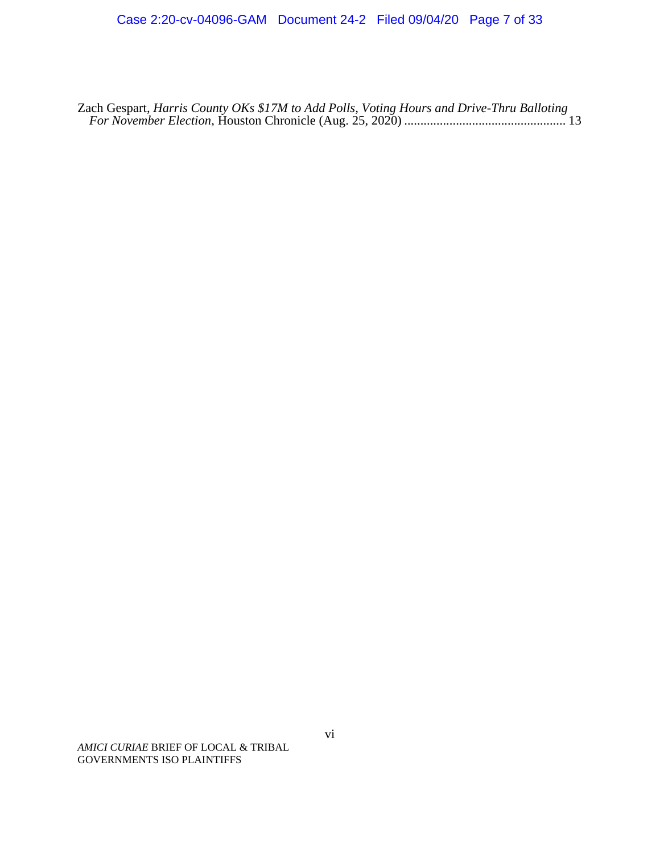Zach Gespart, *Harris County OKs \$17M to Add Polls, Voting Hours and Drive-Thru Balloting For November Election*, Houston Chronicle (Aug. 25, 2020) .................................................. 13

*AMICI CURIAE* BRIEF OF LOCAL & TRIBAL GOVERNMENTS ISO PLAINTIFFS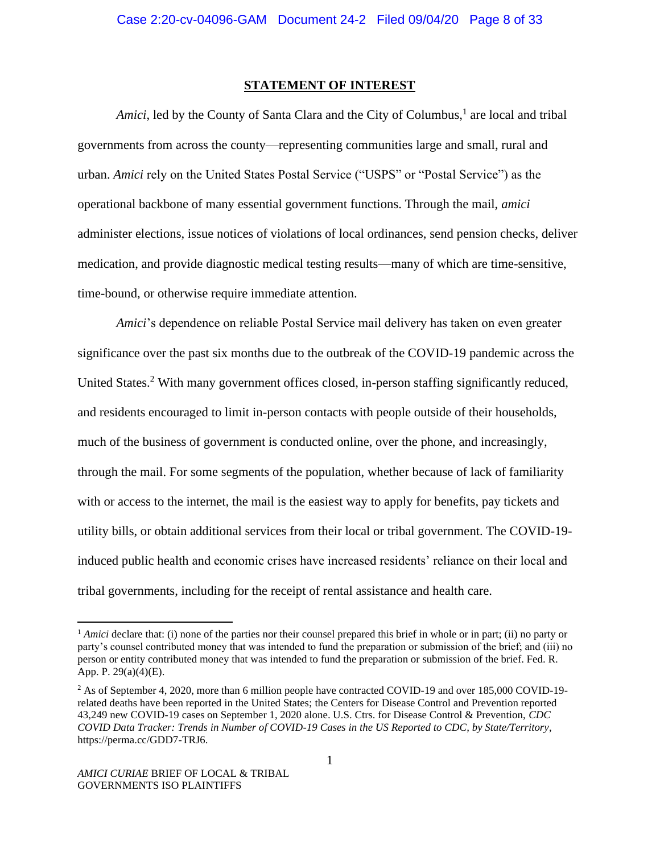#### **STATEMENT OF INTEREST**

Amici, led by the County of Santa Clara and the City of Columbus,<sup>1</sup> are local and tribal governments from across the county—representing communities large and small, rural and urban. *Amici* rely on the United States Postal Service ("USPS" or "Postal Service") as the operational backbone of many essential government functions. Through the mail, *amici* administer elections, issue notices of violations of local ordinances, send pension checks, deliver medication, and provide diagnostic medical testing results—many of which are time-sensitive, time-bound, or otherwise require immediate attention.

*Amici*'s dependence on reliable Postal Service mail delivery has taken on even greater significance over the past six months due to the outbreak of the COVID-19 pandemic across the United States.<sup>2</sup> With many government offices closed, in-person staffing significantly reduced, and residents encouraged to limit in-person contacts with people outside of their households, much of the business of government is conducted online, over the phone, and increasingly, through the mail. For some segments of the population, whether because of lack of familiarity with or access to the internet, the mail is the easiest way to apply for benefits, pay tickets and utility bills, or obtain additional services from their local or tribal government. The COVID-19 induced public health and economic crises have increased residents' reliance on their local and tribal governments, including for the receipt of rental assistance and health care.

<sup>&</sup>lt;sup>1</sup> *Amici* declare that: (i) none of the parties nor their counsel prepared this brief in whole or in part; (ii) no party or party's counsel contributed money that was intended to fund the preparation or submission of the brief; and (iii) no person or entity contributed money that was intended to fund the preparation or submission of the brief. Fed. R. App. P. 29(a)(4)(E).

<sup>&</sup>lt;sup>2</sup> As of September 4, 2020, more than 6 million people have contracted COVID-19 and over 185,000 COVID-19related deaths have been reported in the United States; the Centers for Disease Control and Prevention reported 43,249 new COVID-19 cases on September 1, 2020 alone. U.S. Ctrs. for Disease Control & Prevention, *CDC COVID Data Tracker: Trends in Number of COVID-19 Cases in the US Reported to CDC, by State/Territory*, [https://perma.cc/GDD7-TRJ6.](https://perma.cc/GDD7-TRJ6)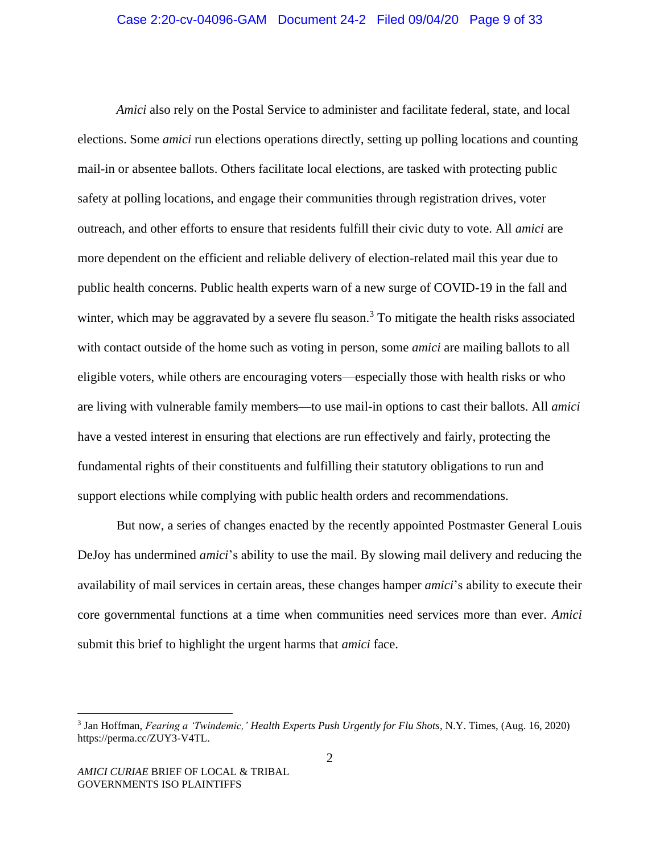*Amici* also rely on the Postal Service to administer and facilitate federal, state, and local elections. Some *amici* run elections operations directly, setting up polling locations and counting mail-in or absentee ballots. Others facilitate local elections, are tasked with protecting public safety at polling locations, and engage their communities through registration drives, voter outreach, and other efforts to ensure that residents fulfill their civic duty to vote. All *amici* are more dependent on the efficient and reliable delivery of election-related mail this year due to public health concerns. Public health experts warn of a new surge of COVID-19 in the fall and winter, which may be aggravated by a severe flu season.<sup>3</sup> To mitigate the health risks associated with contact outside of the home such as voting in person, some *amici* are mailing ballots to all eligible voters, while others are encouraging voters—especially those with health risks or who are living with vulnerable family members—to use mail-in options to cast their ballots. All *amici* have a vested interest in ensuring that elections are run effectively and fairly, protecting the fundamental rights of their constituents and fulfilling their statutory obligations to run and support elections while complying with public health orders and recommendations.

But now, a series of changes enacted by the recently appointed Postmaster General Louis DeJoy has undermined *amici*'s ability to use the mail. By slowing mail delivery and reducing the availability of mail services in certain areas, these changes hamper *amici*'s ability to execute their core governmental functions at a time when communities need services more than ever. *Amici* submit this brief to highlight the urgent harms that *amici* face.

<sup>3</sup> Jan Hoffman, *Fearing a 'Twindemic,' Health Experts Push Urgently for Flu Shots*, N.Y. Times, (Aug. 16, 2020) https://perma.cc/ZUY3-V4TL.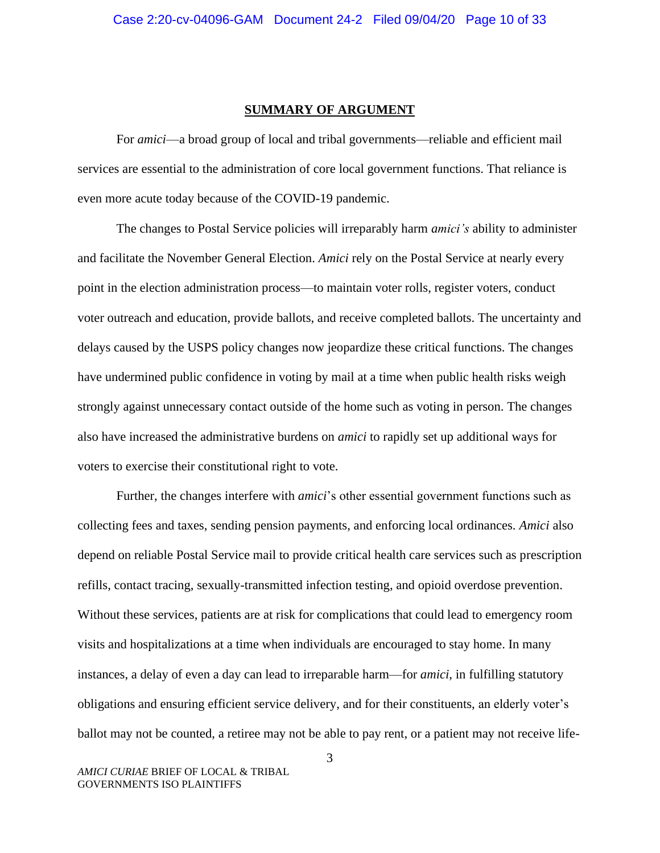#### **SUMMARY OF ARGUMENT**

For *amici*—a broad group of local and tribal governments—reliable and efficient mail services are essential to the administration of core local government functions. That reliance is even more acute today because of the COVID-19 pandemic.

The changes to Postal Service policies will irreparably harm *amici's* ability to administer and facilitate the November General Election. *Amici* rely on the Postal Service at nearly every point in the election administration process—to maintain voter rolls, register voters, conduct voter outreach and education, provide ballots, and receive completed ballots. The uncertainty and delays caused by the USPS policy changes now jeopardize these critical functions. The changes have undermined public confidence in voting by mail at a time when public health risks weigh strongly against unnecessary contact outside of the home such as voting in person. The changes also have increased the administrative burdens on *amici* to rapidly set up additional ways for voters to exercise their constitutional right to vote.

Further, the changes interfere with *amici*'s other essential government functions such as collecting fees and taxes, sending pension payments, and enforcing local ordinances. *Amici* also depend on reliable Postal Service mail to provide critical health care services such as prescription refills, contact tracing, sexually-transmitted infection testing, and opioid overdose prevention. Without these services, patients are at risk for complications that could lead to emergency room visits and hospitalizations at a time when individuals are encouraged to stay home. In many instances, a delay of even a day can lead to irreparable harm—for *amici*, in fulfilling statutory obligations and ensuring efficient service delivery, and for their constituents, an elderly voter's ballot may not be counted, a retiree may not be able to pay rent, or a patient may not receive life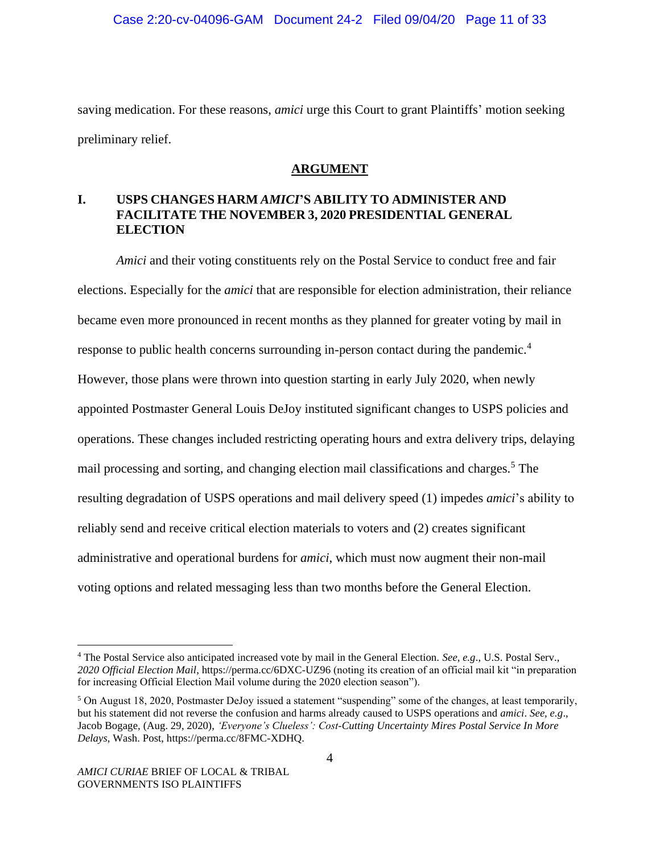saving medication. For these reasons, *amici* urge this Court to grant Plaintiffs' motion seeking preliminary relief.

## **ARGUMENT**

## **I. USPS CHANGES HARM** *AMICI***'S ABILITY TO ADMINISTER AND FACILITATE THE NOVEMBER 3, 2020 PRESIDENTIAL GENERAL ELECTION**

*Amici* and their voting constituents rely on the Postal Service to conduct free and fair elections. Especially for the *amici* that are responsible for election administration, their reliance became even more pronounced in recent months as they planned for greater voting by mail in response to public health concerns surrounding in-person contact during the pandemic.<sup>4</sup> However, those plans were thrown into question starting in early July 2020, when newly appointed Postmaster General Louis DeJoy instituted significant changes to USPS policies and operations. These changes included restricting operating hours and extra delivery trips, delaying mail processing and sorting, and changing election mail classifications and charges.<sup>5</sup> The resulting degradation of USPS operations and mail delivery speed (1) impedes *amici*'s ability to reliably send and receive critical election materials to voters and (2) creates significant administrative and operational burdens for *amici*, which must now augment their non-mail voting options and related messaging less than two months before the General Election.

<sup>4</sup> The Postal Service also anticipated increased vote by mail in the General Election. *See, e.g*., U.S. Postal Serv., *2020 Official Election Mail*, https://perma.cc/6DXC-UZ96 (noting its creation of an official mail kit "in preparation for increasing Official Election Mail volume during the 2020 election season").

<sup>5</sup> On August 18, 2020, Postmaster DeJoy issued a statement "suspending" some of the changes, at least temporarily, but his statement did not reverse the confusion and harms already caused to USPS operations and *amici*. *See, e.g*., Jacob Bogage, (Aug. 29, 2020), *'Everyone's Clueless': Cost-Cutting Uncertainty Mires Postal Service In More Delays*, Wash. Post, https://perma.cc/8FMC-XDHQ.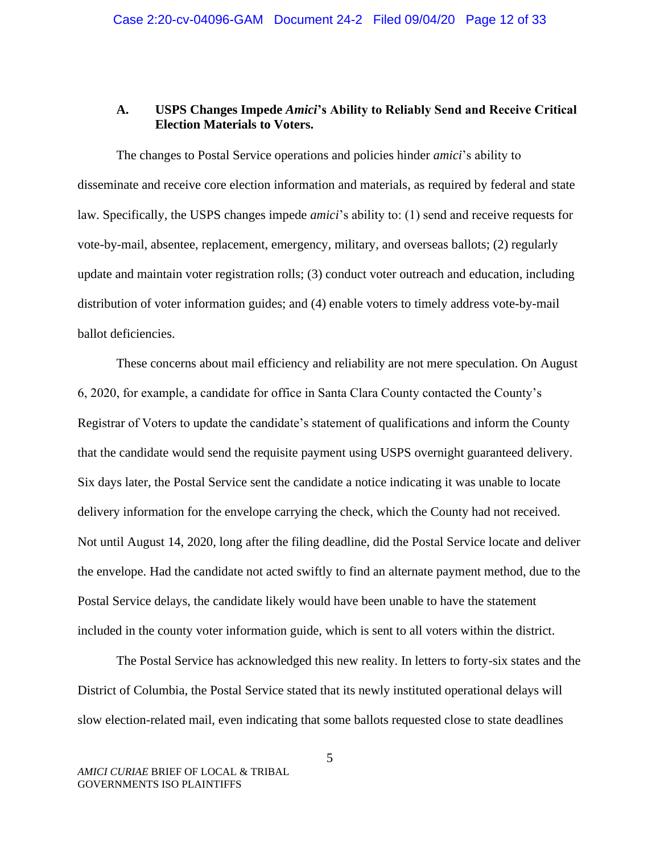## **A. USPS Changes Impede** *Amici***'s Ability to Reliably Send and Receive Critical Election Materials to Voters.**

The changes to Postal Service operations and policies hinder *amici*'s ability to disseminate and receive core election information and materials, as required by federal and state law. Specifically, the USPS changes impede *amici*'s ability to: (1) send and receive requests for vote-by-mail, absentee, replacement, emergency, military, and overseas ballots; (2) regularly update and maintain voter registration rolls; (3) conduct voter outreach and education, including distribution of voter information guides; and (4) enable voters to timely address vote-by-mail ballot deficiencies.

These concerns about mail efficiency and reliability are not mere speculation. On August 6, 2020, for example, a candidate for office in Santa Clara County contacted the County's Registrar of Voters to update the candidate's statement of qualifications and inform the County that the candidate would send the requisite payment using USPS overnight guaranteed delivery. Six days later, the Postal Service sent the candidate a notice indicating it was unable to locate delivery information for the envelope carrying the check, which the County had not received. Not until August 14, 2020, long after the filing deadline, did the Postal Service locate and deliver the envelope. Had the candidate not acted swiftly to find an alternate payment method, due to the Postal Service delays, the candidate likely would have been unable to have the statement included in the county voter information guide, which is sent to all voters within the district.

The Postal Service has acknowledged this new reality. In letters to forty-six states and the District of Columbia, the Postal Service stated that its newly instituted operational delays will slow election-related mail, even indicating that some ballots requested close to state deadlines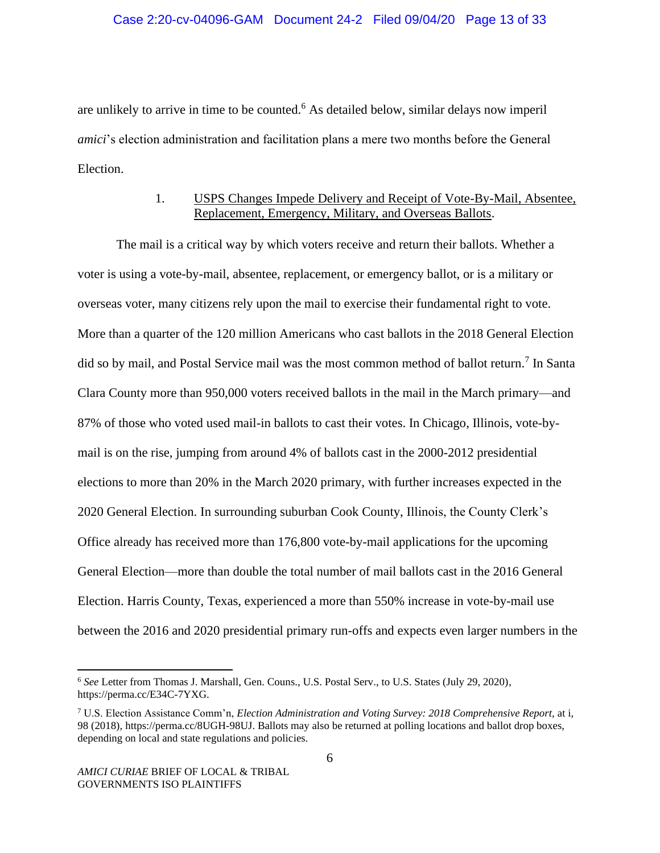### Case 2:20-cv-04096-GAM Document 24-2 Filed 09/04/20 Page 13 of 33

are unlikely to arrive in time to be counted.<sup>6</sup> As detailed below, similar delays now imperil *amici*'s election administration and facilitation plans a mere two months before the General Election.

## 1. USPS Changes Impede Delivery and Receipt of Vote-By-Mail, Absentee, Replacement, Emergency, Military, and Overseas Ballots.

The mail is a critical way by which voters receive and return their ballots. Whether a voter is using a vote-by-mail, absentee, replacement, or emergency ballot, or is a military or overseas voter, many citizens rely upon the mail to exercise their fundamental right to vote. More than a quarter of the 120 million Americans who cast ballots in the 2018 General Election did so by mail, and Postal Service mail was the most common method of ballot return.<sup>7</sup> In Santa Clara County more than 950,000 voters received ballots in the mail in the March primary—and 87% of those who voted used mail-in ballots to cast their votes. In Chicago, Illinois, vote-bymail is on the rise, jumping from around 4% of ballots cast in the 2000-2012 presidential elections to more than 20% in the March 2020 primary, with further increases expected in the 2020 General Election. In surrounding suburban Cook County, Illinois, the County Clerk's Office already has received more than 176,800 vote-by-mail applications for the upcoming General Election—more than double the total number of mail ballots cast in the 2016 General Election. Harris County, Texas, experienced a more than 550% increase in vote-by-mail use between the 2016 and 2020 presidential primary run-offs and expects even larger numbers in the

<sup>6</sup> *See* Letter from Thomas J. Marshall, Gen. Couns., U.S. Postal Serv., to U.S. States (July 29, 2020), [https://perma.cc/E34C-7YXG.](https://perma.cc/E34C-7YXG)

<sup>7</sup> U.S. Election Assistance Comm'n, *Election Administration and Voting Survey: 2018 Comprehensive Report,* at i, 98 (2018), [https://perma.cc/8UGH-98UJ.](https://perma.cc/8UGH-98UJ) Ballots may also be returned at polling locations and ballot drop boxes, depending on local and state regulations and policies.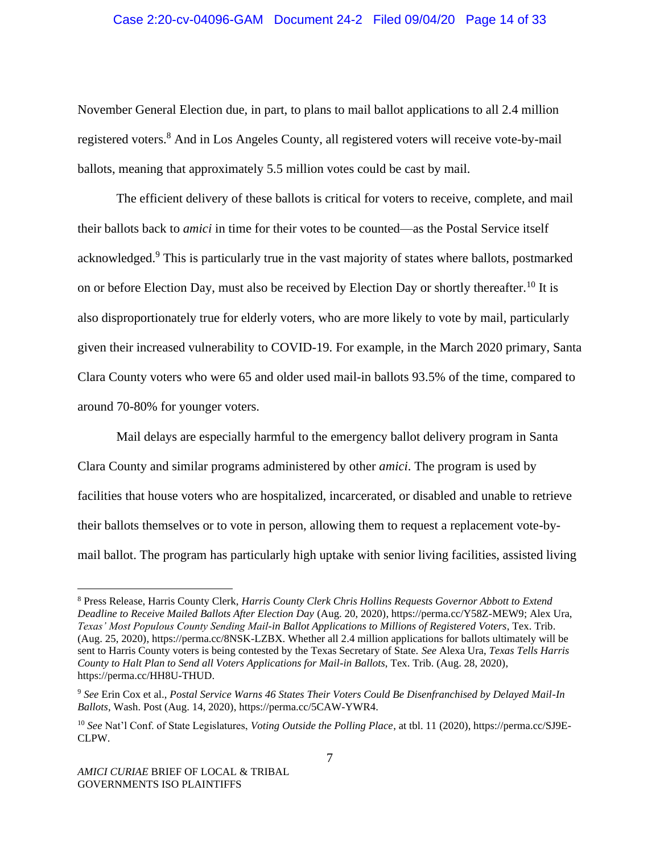### Case 2:20-cv-04096-GAM Document 24-2 Filed 09/04/20 Page 14 of 33

November General Election due, in part, to plans to mail ballot applications to all 2.4 million registered voters.<sup>8</sup> And in Los Angeles County, all registered voters will receive vote-by-mail ballots, meaning that approximately 5.5 million votes could be cast by mail.

The efficient delivery of these ballots is critical for voters to receive, complete, and mail their ballots back to *amici* in time for their votes to be counted—as the Postal Service itself acknowledged.<sup>9</sup> This is particularly true in the vast majority of states where ballots, postmarked on or before Election Day, must also be received by Election Day or shortly thereafter.<sup>10</sup> It is also disproportionately true for elderly voters, who are more likely to vote by mail, particularly given their increased vulnerability to COVID-19. For example, in the March 2020 primary, Santa Clara County voters who were 65 and older used mail-in ballots 93.5% of the time, compared to around 70-80% for younger voters.

Mail delays are especially harmful to the emergency ballot delivery program in Santa Clara County and similar programs administered by other *amici*. The program is used by facilities that house voters who are hospitalized, incarcerated, or disabled and unable to retrieve their ballots themselves or to vote in person, allowing them to request a replacement vote-bymail ballot. The program has particularly high uptake with senior living facilities, assisted living

<sup>8</sup> Press Release, Harris County Clerk, *Harris County Clerk Chris Hollins Requests Governor Abbott to Extend Deadline to Receive Mailed Ballots After Election Day* (Aug. 20, 2020), [https://perma.cc/Y58Z-MEW9;](https://perma.cc/Y58Z-MEW9) Alex Ura, *Texas' Most Populous County Sending Mail-in Ballot Applications to Millions of Registered Voters*, Tex. Trib. (Aug. 25, 2020), [https://perma.cc/8NSK-LZBX.](https://perma.cc/8NSK-LZBX) Whether all 2.4 million applications for ballots ultimately will be sent to Harris County voters is being contested by the Texas Secretary of State. *See* Alexa Ura, *Texas Tells Harris County to Halt Plan to Send all Voters Applications for Mail-in Ballots*, Tex. Trib. (Aug. 28, 2020), [https://perma.cc/HH8U-THUD.](https://perma.cc/HH8U-THUD)

<sup>9</sup> *See* Erin Cox et al., *Postal Service Warns 46 States Their Voters Could Be Disenfranchised by Delayed Mail-In Ballots*, Wash. Post (Aug. 14, 2020)[, https://perma.cc/5CAW-YWR4.](https://perma.cc/5CAW-YWR4)

<sup>10</sup> *See* Nat'l Conf. of State Legislatures, *Voting Outside the Polling Place*, at tbl. 11 (2020), [https://perma.cc/SJ9E-](https://perma.cc/SJ9E-CLPW)[CLPW.](https://perma.cc/SJ9E-CLPW)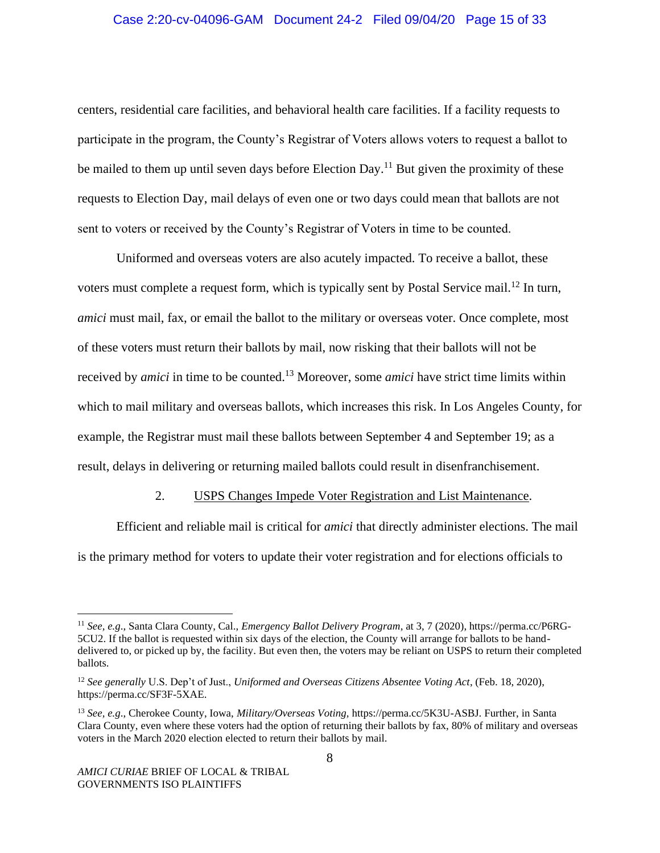### Case 2:20-cv-04096-GAM Document 24-2 Filed 09/04/20 Page 15 of 33

centers, residential care facilities, and behavioral health care facilities. If a facility requests to participate in the program, the County's Registrar of Voters allows voters to request a ballot to be mailed to them up until seven days before Election Day.<sup>11</sup> But given the proximity of these requests to Election Day, mail delays of even one or two days could mean that ballots are not sent to voters or received by the County's Registrar of Voters in time to be counted.

Uniformed and overseas voters are also acutely impacted. To receive a ballot, these voters must complete a request form, which is typically sent by Postal Service mail.<sup>12</sup> In turn, *amici* must mail, fax, or email the ballot to the military or overseas voter. Once complete, most of these voters must return their ballots by mail, now risking that their ballots will not be received by *amici* in time to be counted.<sup>13</sup> Moreover, some *amici* have strict time limits within which to mail military and overseas ballots, which increases this risk. In Los Angeles County, for example, the Registrar must mail these ballots between September 4 and September 19; as a result, delays in delivering or returning mailed ballots could result in disenfranchisement.

### 2. USPS Changes Impede Voter Registration and List Maintenance.

Efficient and reliable mail is critical for *amici* that directly administer elections. The mail is the primary method for voters to update their voter registration and for elections officials to

<sup>11</sup> *See, e.g*., Santa Clara County, Cal., *Emergency Ballot Delivery Program*, at 3, 7 (2020)[, https://perma.cc/P6RG-](https://perma.cc/P6RG-5CU2)[5CU2.](https://perma.cc/P6RG-5CU2) If the ballot is requested within six days of the election, the County will arrange for ballots to be handdelivered to, or picked up by, the facility. But even then, the voters may be reliant on USPS to return their completed ballots.

<sup>12</sup> *See generally* U.S. Dep't of Just., *Uniformed and Overseas Citizens Absentee Voting Act*, (Feb. 18, 2020), [https://perma.cc/SF3F-5XAE.](https://perma.cc/SF3F-5XAE)

<sup>13</sup> *See, e.g*., Cherokee County, Iowa, *Military/Overseas Voting*[, https://perma.cc/5K3U-ASBJ.](https://perma.cc/5K3U-ASBJ) Further, in Santa Clara County, even where these voters had the option of returning their ballots by fax, 80% of military and overseas voters in the March 2020 election elected to return their ballots by mail.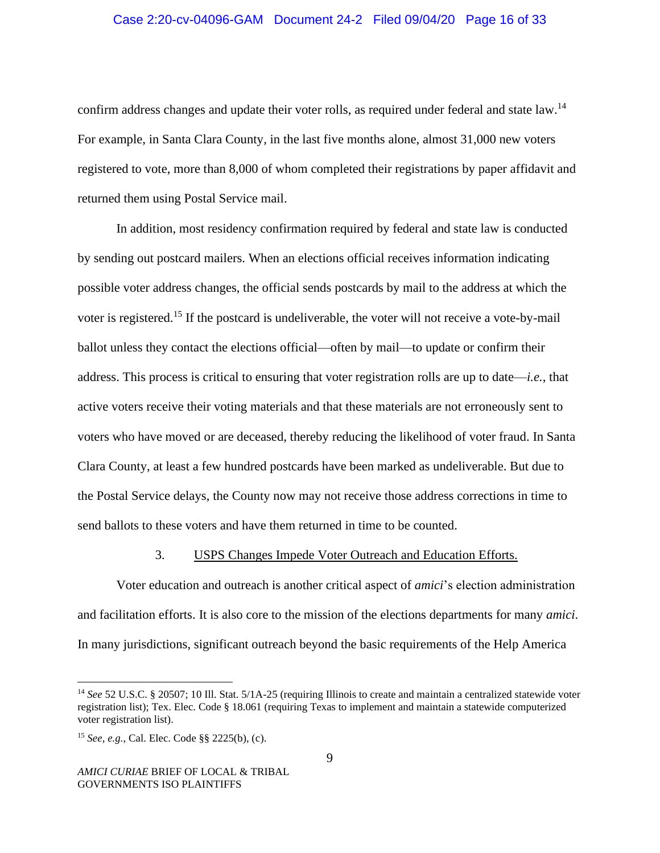### Case 2:20-cv-04096-GAM Document 24-2 Filed 09/04/20 Page 16 of 33

confirm address changes and update their voter rolls, as required under federal and state law.<sup>14</sup> For example, in Santa Clara County, in the last five months alone, almost 31,000 new voters registered to vote, more than 8,000 of whom completed their registrations by paper affidavit and returned them using Postal Service mail.

In addition, most residency confirmation required by federal and state law is conducted by sending out postcard mailers. When an elections official receives information indicating possible voter address changes, the official sends postcards by mail to the address at which the voter is registered.<sup>15</sup> If the postcard is undeliverable, the voter will not receive a vote-by-mail ballot unless they contact the elections official—often by mail—to update or confirm their address. This process is critical to ensuring that voter registration rolls are up to date—*i.e.*, that active voters receive their voting materials and that these materials are not erroneously sent to voters who have moved or are deceased, thereby reducing the likelihood of voter fraud. In Santa Clara County, at least a few hundred postcards have been marked as undeliverable. But due to the Postal Service delays, the County now may not receive those address corrections in time to send ballots to these voters and have them returned in time to be counted.

#### 3. USPS Changes Impede Voter Outreach and Education Efforts.

Voter education and outreach is another critical aspect of *amici*'s election administration and facilitation efforts. It is also core to the mission of the elections departments for many *amici*. In many jurisdictions, significant outreach beyond the basic requirements of the Help America

<sup>&</sup>lt;sup>14</sup> See 52 U.S.C. § 20507; 10 Ill. Stat. 5/1A-25 (requiring Illinois to create and maintain a centralized statewide voter registration list); Tex. Elec. Code § 18.061 (requiring Texas to implement and maintain a statewide computerized voter registration list).

<sup>15</sup> *See, e.g.*, Cal. Elec. Code §§ 2225(b), (c).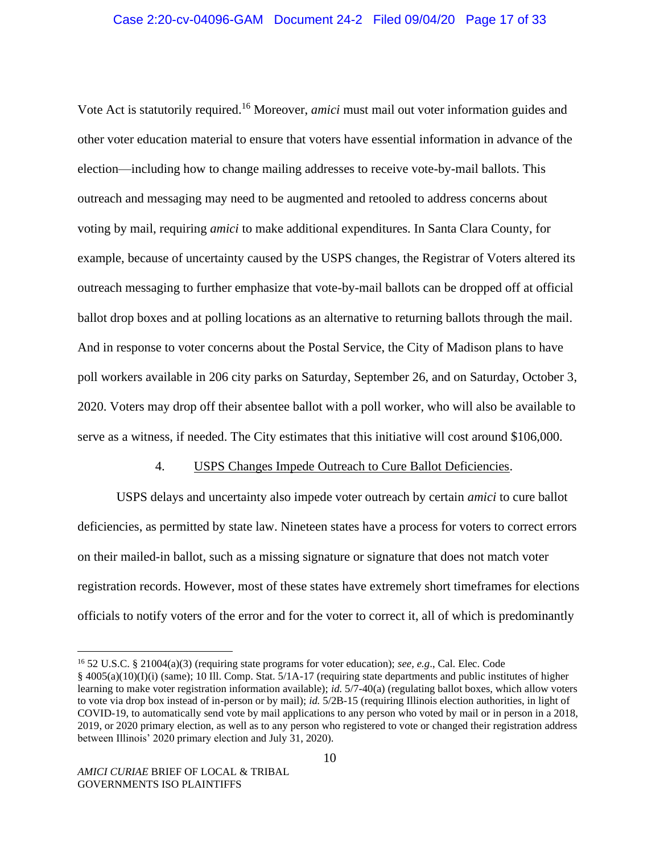Vote Act is statutorily required.<sup>16</sup> Moreover, *amici* must mail out voter information guides and other voter education material to ensure that voters have essential information in advance of the election—including how to change mailing addresses to receive vote-by-mail ballots. This outreach and messaging may need to be augmented and retooled to address concerns about voting by mail, requiring *amici* to make additional expenditures. In Santa Clara County, for example, because of uncertainty caused by the USPS changes, the Registrar of Voters altered its outreach messaging to further emphasize that vote-by-mail ballots can be dropped off at official ballot drop boxes and at polling locations as an alternative to returning ballots through the mail. And in response to voter concerns about the Postal Service, the City of Madison plans to have poll workers available in 206 city parks on Saturday, September 26, and on Saturday, October 3, 2020. Voters may drop off their absentee ballot with a poll worker, who will also be available to serve as a witness, if needed. The City estimates that this initiative will cost around \$106,000.

### 4. USPS Changes Impede Outreach to Cure Ballot Deficiencies.

USPS delays and uncertainty also impede voter outreach by certain *amici* to cure ballot deficiencies, as permitted by state law. Nineteen states have a process for voters to correct errors on their mailed-in ballot, such as a missing signature or signature that does not match voter registration records. However, most of these states have extremely short timeframes for elections officials to notify voters of the error and for the voter to correct it, all of which is predominantly

<sup>16</sup> 52 U.S.C. § 21004(a)(3) (requiring state programs for voter education); *see, e.g*., Cal. Elec. Code § 4005(a)(10)(I)(i) (same); 10 Ill. Comp. Stat. 5/1A-17 (requiring state departments and public institutes of higher learning to make voter registration information available); *id.* 5/7-40(a) (regulating ballot boxes, which allow voters to vote via drop box instead of in-person or by mail); *id.* 5/2B-15 (requiring Illinois election authorities, in light of COVID-19, to automatically send vote by mail applications to any person who voted by mail or in person in a 2018, 2019, or 2020 primary election, as well as to any person who registered to vote or changed their registration address between Illinois' 2020 primary election and July 31, 2020).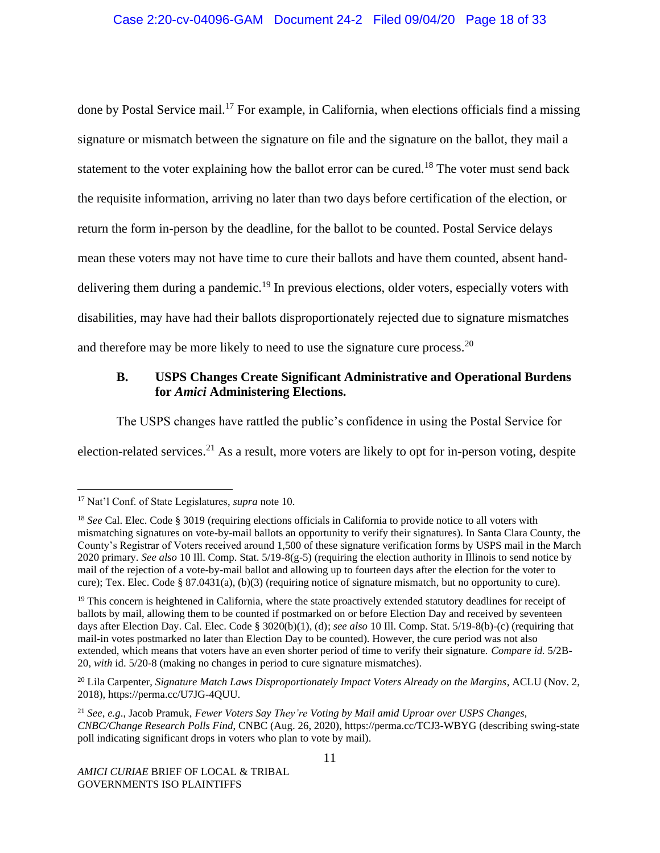### Case 2:20-cv-04096-GAM Document 24-2 Filed 09/04/20 Page 18 of 33

done by Postal Service mail.<sup>17</sup> For example, in California, when elections officials find a missing signature or mismatch between the signature on file and the signature on the ballot, they mail a statement to the voter explaining how the ballot error can be cured.<sup>18</sup> The voter must send back the requisite information, arriving no later than two days before certification of the election, or return the form in-person by the deadline, for the ballot to be counted. Postal Service delays mean these voters may not have time to cure their ballots and have them counted, absent handdelivering them during a pandemic.<sup>19</sup> In previous elections, older voters, especially voters with disabilities, may have had their ballots disproportionately rejected due to signature mismatches and therefore may be more likely to need to use the signature cure process.<sup>20</sup>

### **B. USPS Changes Create Significant Administrative and Operational Burdens for** *Amici* **Administering Elections.**

The USPS changes have rattled the public's confidence in using the Postal Service for

election-related services.<sup>21</sup> As a result, more voters are likely to opt for in-person voting, despite

<sup>17</sup> Nat'l Conf. of State Legislatures, *supra* note 10.

<sup>18</sup> *See* Cal. Elec. Code § 3019 (requiring elections officials in California to provide notice to all voters with mismatching signatures on vote-by-mail ballots an opportunity to verify their signatures). In Santa Clara County, the County's Registrar of Voters received around 1,500 of these signature verification forms by USPS mail in the March 2020 primary. *See also* 10 Ill. Comp. Stat. 5/19-8(g-5) (requiring the election authority in Illinois to send notice by mail of the rejection of a vote-by-mail ballot and allowing up to fourteen days after the election for the voter to cure); Tex. Elec. Code § 87.0431(a), (b)(3) (requiring notice of signature mismatch, but no opportunity to cure).

 $19$  This concern is heightened in California, where the state proactively extended statutory deadlines for receipt of ballots by mail, allowing them to be counted if postmarked on or before Election Day and received by seventeen days after Election Day. Cal. Elec. Code § 3020(b)(1), (d); *see also* 10 Ill. Comp. Stat. 5/19-8(b)-(c) (requiring that mail-in votes postmarked no later than Election Day to be counted). However, the cure period was not also extended, which means that voters have an even shorter period of time to verify their signature. *Compare id.* 5/2B-20, *with* id. 5/20-8 (making no changes in period to cure signature mismatches).

<sup>20</sup> Lila Carpenter, *Signature Match Laws Disproportionately Impact Voters Already on the Margins*, ACLU (Nov. 2, 2018), https://perma.cc/U7JG-4QUU.

<sup>21</sup> *See, e.g*., Jacob Pramuk, *Fewer Voters Say They're Voting by Mail amid Uproar over USPS Changes, CNBC/Change Research Polls Find*, CNBC (Aug. 26, 2020), https://perma.cc/TCJ3-WBYG (describing swing-state poll indicating significant drops in voters who plan to vote by mail).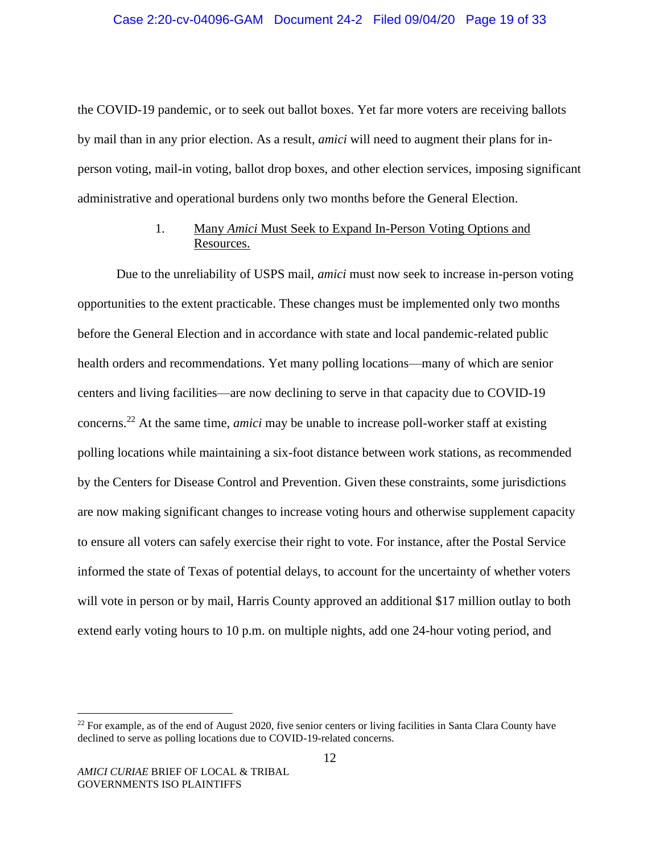the COVID-19 pandemic, or to seek out ballot boxes. Yet far more voters are receiving ballots by mail than in any prior election. As a result, *amici* will need to augment their plans for inperson voting, mail-in voting, ballot drop boxes, and other election services, imposing significant administrative and operational burdens only two months before the General Election.

## 1. Many *Amici* Must Seek to Expand In-Person Voting Options and Resources.

Due to the unreliability of USPS mail, *amici* must now seek to increase in-person voting opportunities to the extent practicable. These changes must be implemented only two months before the General Election and in accordance with state and local pandemic-related public health orders and recommendations. Yet many polling locations—many of which are senior centers and living facilities—are now declining to serve in that capacity due to COVID-19 concerns.<sup>22</sup> At the same time, *amici* may be unable to increase poll-worker staff at existing polling locations while maintaining a six-foot distance between work stations, as recommended by the Centers for Disease Control and Prevention. Given these constraints, some jurisdictions are now making significant changes to increase voting hours and otherwise supplement capacity to ensure all voters can safely exercise their right to vote. For instance, after the Postal Service informed the state of Texas of potential delays, to account for the uncertainty of whether voters will vote in person or by mail, Harris County approved an additional \$17 million outlay to both extend early voting hours to 10 p.m. on multiple nights, add one 24-hour voting period, and

<sup>&</sup>lt;sup>22</sup> For example, as of the end of August 2020, five senior centers or living facilities in Santa Clara County have declined to serve as polling locations due to COVID-19-related concerns.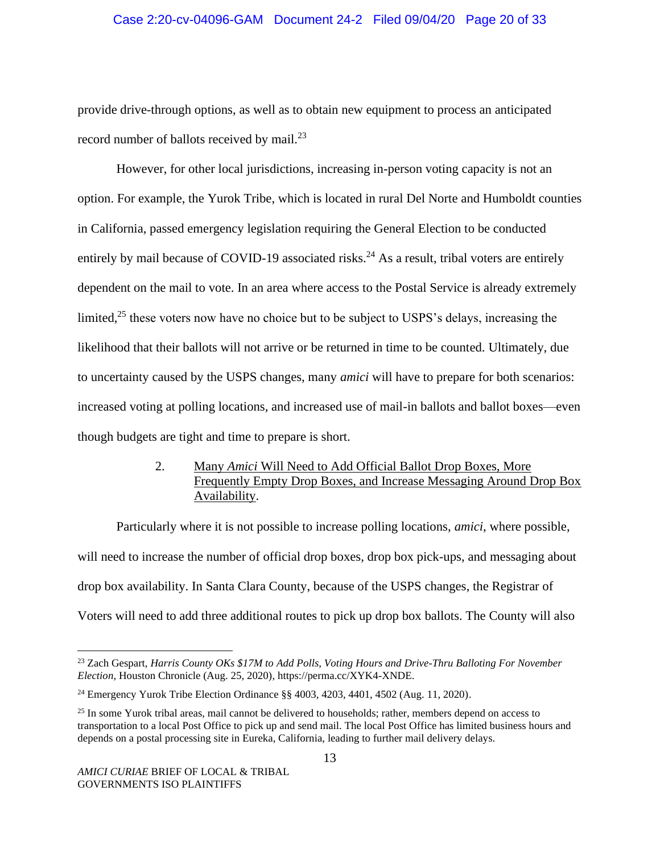### Case 2:20-cv-04096-GAM Document 24-2 Filed 09/04/20 Page 20 of 33

provide drive-through options, as well as to obtain new equipment to process an anticipated record number of ballots received by mail.<sup>23</sup>

However, for other local jurisdictions, increasing in-person voting capacity is not an option. For example, the Yurok Tribe, which is located in rural Del Norte and Humboldt counties in California, passed emergency legislation requiring the General Election to be conducted entirely by mail because of COVID-19 associated risks.<sup>24</sup> As a result, tribal voters are entirely dependent on the mail to vote. In an area where access to the Postal Service is already extremely limited, $25$  these voters now have no choice but to be subject to USPS's delays, increasing the likelihood that their ballots will not arrive or be returned in time to be counted. Ultimately, due to uncertainty caused by the USPS changes, many *amici* will have to prepare for both scenarios: increased voting at polling locations, and increased use of mail-in ballots and ballot boxes—even though budgets are tight and time to prepare is short.

# 2. Many *Amici* Will Need to Add Official Ballot Drop Boxes, More Frequently Empty Drop Boxes, and Increase Messaging Around Drop Box Availability.

Particularly where it is not possible to increase polling locations, *amici*, where possible, will need to increase the number of official drop boxes, drop box pick-ups, and messaging about drop box availability. In Santa Clara County, because of the USPS changes, the Registrar of Voters will need to add three additional routes to pick up drop box ballots. The County will also

<sup>23</sup> Zach Gespart, *Harris County OKs \$17M to Add Polls, Voting Hours and Drive-Thru Balloting For November Election*, Houston Chronicle (Aug. 25, 2020), https://perma.cc/XYK4-XNDE.

<sup>&</sup>lt;sup>24</sup> Emergency Yurok Tribe Election Ordinance  $\S$ § 4003, 4203, 4401, 4502 (Aug. 11, 2020).

<sup>&</sup>lt;sup>25</sup> In some Yurok tribal areas, mail cannot be delivered to households; rather, members depend on access to transportation to a local Post Office to pick up and send mail. The local Post Office has limited business hours and depends on a postal processing site in Eureka, California, leading to further mail delivery delays.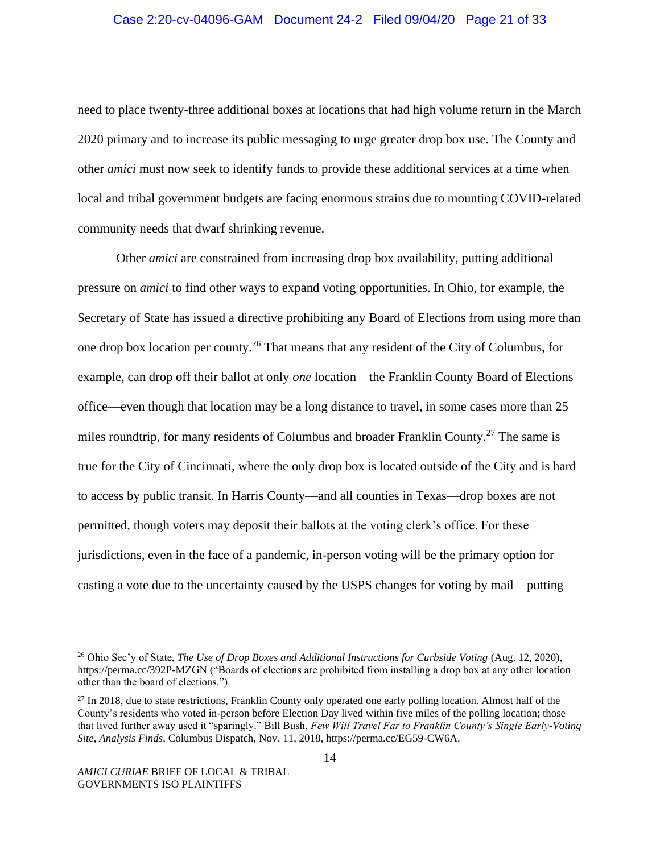#### Case 2:20-cv-04096-GAM Document 24-2 Filed 09/04/20 Page 21 of 33

need to place twenty-three additional boxes at locations that had high volume return in the March 2020 primary and to increase its public messaging to urge greater drop box use. The County and other *amici* must now seek to identify funds to provide these additional services at a time when local and tribal government budgets are facing enormous strains due to mounting COVID-related community needs that dwarf shrinking revenue.

Other *amici* are constrained from increasing drop box availability, putting additional pressure on *amici* to find other ways to expand voting opportunities. In Ohio, for example, the Secretary of State has issued a directive prohibiting any Board of Elections from using more than one drop box location per county.<sup>26</sup> That means that any resident of the City of Columbus, for example, can drop off their ballot at only *one* location—the Franklin County Board of Elections office—even though that location may be a long distance to travel, in some cases more than 25 miles roundtrip, for many residents of Columbus and broader Franklin County.<sup>27</sup> The same is true for the City of Cincinnati, where the only drop box is located outside of the City and is hard to access by public transit. In Harris County—and all counties in Texas—drop boxes are not permitted, though voters may deposit their ballots at the voting clerk's office. For these jurisdictions, even in the face of a pandemic, in-person voting will be the primary option for casting a vote due to the uncertainty caused by the USPS changes for voting by mail—putting

<sup>26</sup> Ohio Sec'y of State, *The Use of Drop Boxes and Additional Instructions for Curbside Voting* (Aug. 12, 2020), https://perma.cc/392P-MZGN ("Boards of elections are prohibited from installing a drop box at any other location other than the board of elections.").

<sup>&</sup>lt;sup>27</sup> In 2018, due to state restrictions, Franklin County only operated one early polling location. Almost half of the County's residents who voted in-person before Election Day lived within five miles of the polling location; those that lived further away used it "sparingly." Bill Bush, *Few Will Travel Far to Franklin County's Single Early-Voting Site, Analysis Finds*, Columbus Dispatch, Nov. 11, 2018, https://perma.cc/EG59-CW6A.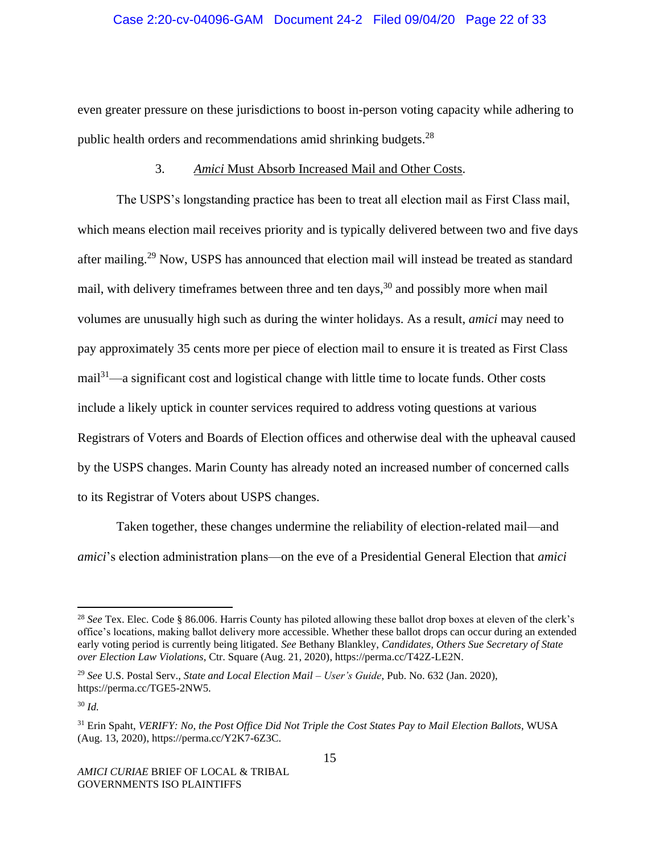#### Case 2:20-cv-04096-GAM Document 24-2 Filed 09/04/20 Page 22 of 33

even greater pressure on these jurisdictions to boost in-person voting capacity while adhering to public health orders and recommendations amid shrinking budgets.<sup>28</sup>

### 3. *Amici* Must Absorb Increased Mail and Other Costs.

The USPS's longstanding practice has been to treat all election mail as First Class mail, which means election mail receives priority and is typically delivered between two and five days after mailing.<sup>29</sup> Now, USPS has announced that election mail will instead be treated as standard mail, with delivery timeframes between three and ten days,  $30$  and possibly more when mail volumes are unusually high such as during the winter holidays. As a result, *amici* may need to pay approximately 35 cents more per piece of election mail to ensure it is treated as First Class  $mail<sup>31</sup>—a significant cost and logistical change with little time to locate funds. Other costs$ include a likely uptick in counter services required to address voting questions at various Registrars of Voters and Boards of Election offices and otherwise deal with the upheaval caused by the USPS changes. Marin County has already noted an increased number of concerned calls to its Registrar of Voters about USPS changes.

Taken together, these changes undermine the reliability of election-related mail—and *amici*'s election administration plans—on the eve of a Presidential General Election that *amici*

<sup>28</sup> *See* Tex. Elec. Code § 86.006. Harris County has piloted allowing these ballot drop boxes at eleven of the clerk's office's locations, making ballot delivery more accessible. Whether these ballot drops can occur during an extended early voting period is currently being litigated. *See* Bethany Blankley, *Candidates, Others Sue Secretary of State over Election Law Violations*, Ctr. Square (Aug. 21, 2020), https://perma.cc/T42Z-LE2N.

<sup>29</sup> *See* U.S. Postal Serv., *State and Local Election Mail – User's Guide*, Pub. No. 632 (Jan. 2020), https://perma.cc/TGE5-2NW5.

<sup>30</sup> *Id.*

<sup>31</sup> Erin Spaht, *VERIFY: No, the Post Office Did Not Triple the Cost States Pay to Mail Election Ballots*, WUSA (Aug. 13, 2020), https://perma.cc/Y2K7-6Z3C.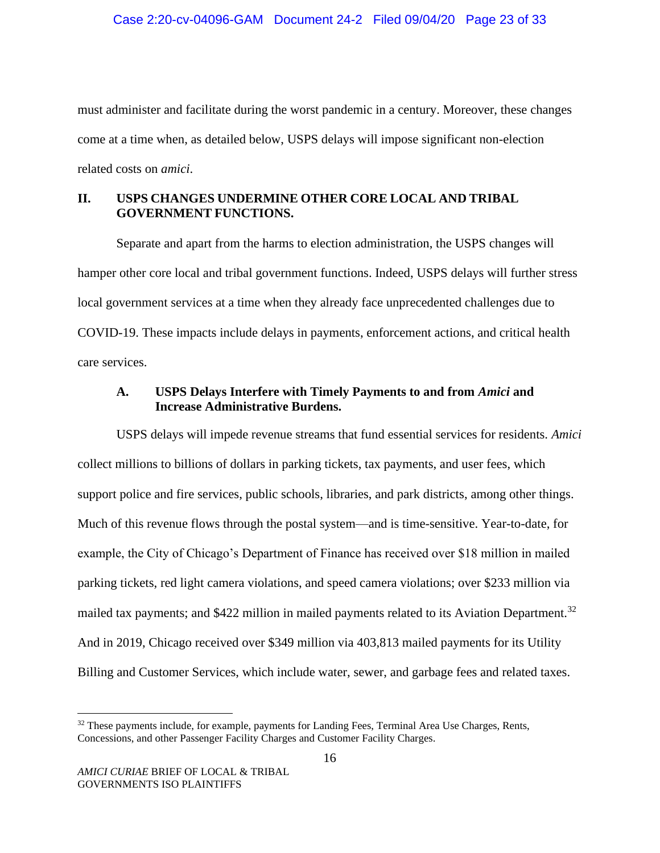must administer and facilitate during the worst pandemic in a century. Moreover, these changes come at a time when, as detailed below, USPS delays will impose significant non-election related costs on *amici*.

# **II. USPS CHANGES UNDERMINE OTHER CORE LOCAL AND TRIBAL GOVERNMENT FUNCTIONS.**

Separate and apart from the harms to election administration, the USPS changes will hamper other core local and tribal government functions. Indeed, USPS delays will further stress local government services at a time when they already face unprecedented challenges due to COVID-19. These impacts include delays in payments, enforcement actions, and critical health care services.

# **A. USPS Delays Interfere with Timely Payments to and from** *Amici* **and Increase Administrative Burdens.**

USPS delays will impede revenue streams that fund essential services for residents. *Amici* collect millions to billions of dollars in parking tickets, tax payments, and user fees, which support police and fire services, public schools, libraries, and park districts, among other things. Much of this revenue flows through the postal system—and is time-sensitive. Year-to-date, for example, the City of Chicago's Department of Finance has received over \$18 million in mailed parking tickets, red light camera violations, and speed camera violations; over \$233 million via mailed tax payments; and \$422 million in mailed payments related to its Aviation Department.<sup>32</sup> And in 2019, Chicago received over \$349 million via 403,813 mailed payments for its Utility Billing and Customer Services, which include water, sewer, and garbage fees and related taxes.

 $32$  These payments include, for example, payments for Landing Fees, Terminal Area Use Charges, Rents, Concessions, and other Passenger Facility Charges and Customer Facility Charges.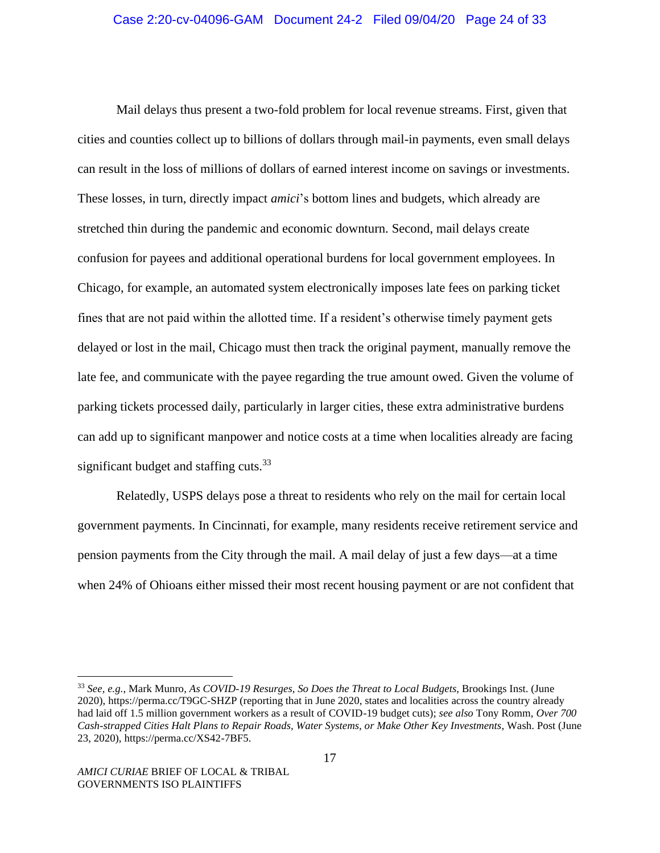Mail delays thus present a two-fold problem for local revenue streams. First, given that cities and counties collect up to billions of dollars through mail-in payments, even small delays can result in the loss of millions of dollars of earned interest income on savings or investments. These losses, in turn, directly impact *amici*'s bottom lines and budgets, which already are stretched thin during the pandemic and economic downturn. Second, mail delays create confusion for payees and additional operational burdens for local government employees. In Chicago, for example, an automated system electronically imposes late fees on parking ticket fines that are not paid within the allotted time. If a resident's otherwise timely payment gets delayed or lost in the mail, Chicago must then track the original payment, manually remove the late fee, and communicate with the payee regarding the true amount owed. Given the volume of parking tickets processed daily, particularly in larger cities, these extra administrative burdens can add up to significant manpower and notice costs at a time when localities already are facing significant budget and staffing cuts. $33$ 

Relatedly, USPS delays pose a threat to residents who rely on the mail for certain local government payments. In Cincinnati, for example, many residents receive retirement service and pension payments from the City through the mail. A mail delay of just a few days—at a time when 24% of Ohioans either missed their most recent housing payment or are not confident that

<sup>33</sup> *See, e.g.*, Mark Munro, *As COVID-19 Resurges, So Does the Threat to Local Budgets*, Brookings Inst. (June 2020), https://perma.cc/T9GC-SHZP (reporting that in June 2020, states and localities across the country already had laid off 1.5 million government workers as a result of COVID-19 budget cuts); *see also* Tony Romm, *Over 700 Cash-strapped Cities Halt Plans to Repair Roads, Water Systems, or Make Other Key Investments*, Wash. Post (June 23, 2020), https://perma.cc/XS42-7BF5.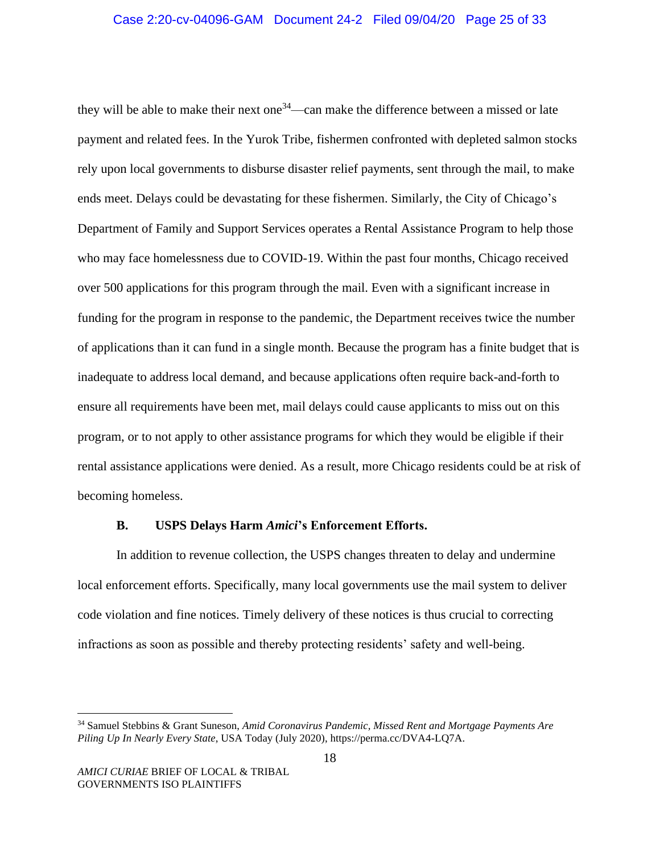they will be able to make their next one<sup>34</sup>—can make the difference between a missed or late payment and related fees. In the Yurok Tribe, fishermen confronted with depleted salmon stocks rely upon local governments to disburse disaster relief payments, sent through the mail, to make ends meet. Delays could be devastating for these fishermen. Similarly, the City of Chicago's Department of Family and Support Services operates a Rental Assistance Program to help those who may face homelessness due to COVID-19. Within the past four months, Chicago received over 500 applications for this program through the mail. Even with a significant increase in funding for the program in response to the pandemic, the Department receives twice the number of applications than it can fund in a single month. Because the program has a finite budget that is inadequate to address local demand, and because applications often require back-and-forth to ensure all requirements have been met, mail delays could cause applicants to miss out on this program, or to not apply to other assistance programs for which they would be eligible if their rental assistance applications were denied. As a result, more Chicago residents could be at risk of becoming homeless.

#### **B. USPS Delays Harm** *Amici***'s Enforcement Efforts.**

In addition to revenue collection, the USPS changes threaten to delay and undermine local enforcement efforts. Specifically, many local governments use the mail system to deliver code violation and fine notices. Timely delivery of these notices is thus crucial to correcting infractions as soon as possible and thereby protecting residents' safety and well-being.

<sup>34</sup> Samuel Stebbins & Grant Suneson, *Amid Coronavirus Pandemic, Missed Rent and Mortgage Payments Are Piling Up In Nearly Every State*, USA Today (July 2020), https://perma.cc/DVA4-LQ7A.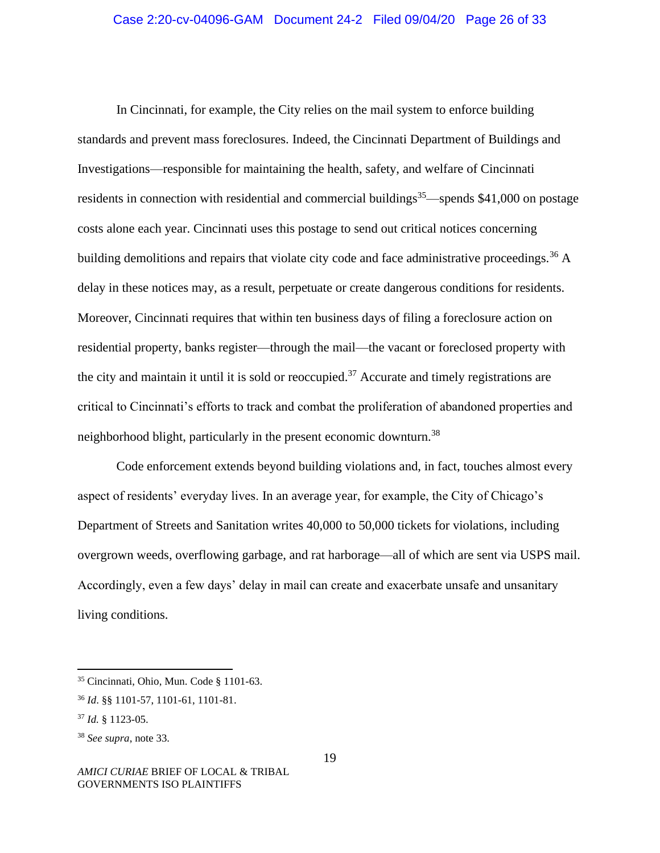#### Case 2:20-cv-04096-GAM Document 24-2 Filed 09/04/20 Page 26 of 33

In Cincinnati, for example, the City relies on the mail system to enforce building standards and prevent mass foreclosures. Indeed, the Cincinnati Department of Buildings and Investigations—responsible for maintaining the health, safety, and welfare of Cincinnati residents in connection with residential and commercial buildings<sup>35</sup>—spends \$41,000 on postage costs alone each year. Cincinnati uses this postage to send out critical notices concerning building demolitions and repairs that violate city code and face administrative proceedings.<sup>36</sup> A delay in these notices may, as a result, perpetuate or create dangerous conditions for residents. Moreover, Cincinnati requires that within ten business days of filing a foreclosure action on residential property, banks register—through the mail—the vacant or foreclosed property with the city and maintain it until it is sold or reoccupied.<sup>37</sup> Accurate and timely registrations are critical to Cincinnati's efforts to track and combat the proliferation of abandoned properties and neighborhood blight, particularly in the present economic downturn.<sup>38</sup>

Code enforcement extends beyond building violations and, in fact, touches almost every aspect of residents' everyday lives. In an average year, for example, the City of Chicago's Department of Streets and Sanitation writes 40,000 to 50,000 tickets for violations, including overgrown weeds, overflowing garbage, and rat harborage—all of which are sent via USPS mail. Accordingly, even a few days' delay in mail can create and exacerbate unsafe and unsanitary living conditions.

<sup>35</sup> Cincinnati, Ohio, Mun. Code § 1101-63.

<sup>36</sup> *Id*. §§ 1101-57, 1101-61, 1101-81.

<sup>37</sup> *Id.* § 1123-05.

<sup>38</sup> *See supra*, note 33.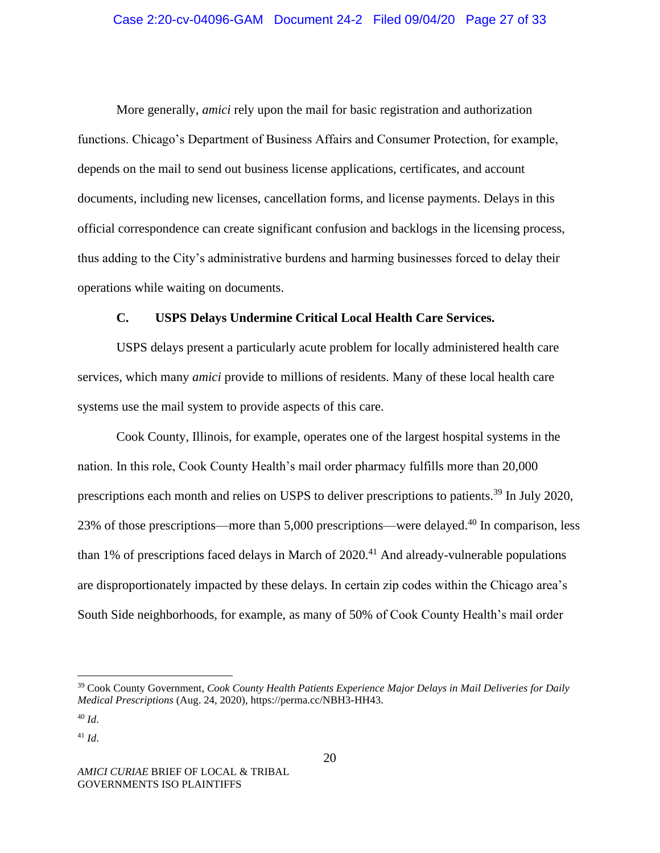### Case 2:20-cv-04096-GAM Document 24-2 Filed 09/04/20 Page 27 of 33

More generally, *amici* rely upon the mail for basic registration and authorization functions. Chicago's Department of Business Affairs and Consumer Protection, for example, depends on the mail to send out business license applications, certificates, and account documents, including new licenses, cancellation forms, and license payments. Delays in this official correspondence can create significant confusion and backlogs in the licensing process, thus adding to the City's administrative burdens and harming businesses forced to delay their operations while waiting on documents.

### **C. USPS Delays Undermine Critical Local Health Care Services.**

USPS delays present a particularly acute problem for locally administered health care services, which many *amici* provide to millions of residents. Many of these local health care systems use the mail system to provide aspects of this care.

Cook County, Illinois, for example, operates one of the largest hospital systems in the nation. In this role, Cook County Health's mail order pharmacy fulfills more than 20,000 prescriptions each month and relies on USPS to deliver prescriptions to patients.<sup>39</sup> In July 2020, 23% of those prescriptions—more than 5,000 prescriptions—were delayed.<sup>40</sup> In comparison, less than 1% of prescriptions faced delays in March of  $2020<sup>41</sup>$  And already-vulnerable populations are disproportionately impacted by these delays. In certain zip codes within the Chicago area's South Side neighborhoods, for example, as many of 50% of Cook County Health's mail order

<sup>39</sup> Cook County Government, *Cook County Health Patients Experience Major Delays in Mail Deliveries for Daily Medical Prescriptions* (Aug. 24, 2020), https://perma.cc/NBH3-HH43.

<sup>40</sup> *Id*.

<sup>41</sup> *Id*.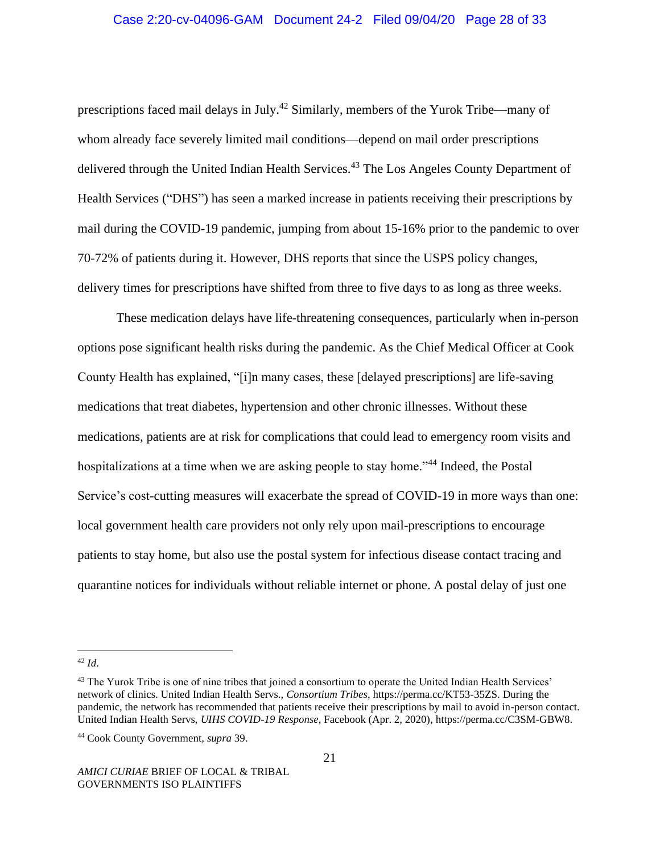prescriptions faced mail delays in July.<sup>42</sup> Similarly, members of the Yurok Tribe—many of whom already face severely limited mail conditions—depend on mail order prescriptions delivered through the United Indian Health Services.<sup>43</sup> The Los Angeles County Department of Health Services ("DHS") has seen a marked increase in patients receiving their prescriptions by mail during the COVID-19 pandemic, jumping from about 15-16% prior to the pandemic to over 70-72% of patients during it. However, DHS reports that since the USPS policy changes, delivery times for prescriptions have shifted from three to five days to as long as three weeks.

These medication delays have life-threatening consequences, particularly when in-person options pose significant health risks during the pandemic. As the Chief Medical Officer at Cook County Health has explained, "[i]n many cases, these [delayed prescriptions] are life-saving medications that treat diabetes, hypertension and other chronic illnesses. Without these medications, patients are at risk for complications that could lead to emergency room visits and hospitalizations at a time when we are asking people to stay home."<sup>44</sup> Indeed, the Postal Service's cost-cutting measures will exacerbate the spread of COVID-19 in more ways than one: local government health care providers not only rely upon mail-prescriptions to encourage patients to stay home, but also use the postal system for infectious disease contact tracing and quarantine notices for individuals without reliable internet or phone. A postal delay of just one

<sup>42</sup> *Id*.

<sup>&</sup>lt;sup>43</sup> The Yurok Tribe is one of nine tribes that joined a consortium to operate the United Indian Health Services' network of clinics. United Indian Health Servs., *Consortium Tribes*, https://perma.cc/KT53-35ZS. During the pandemic, the network has recommended that patients receive their prescriptions by mail to avoid in-person contact. United Indian Health Servs, *UIHS COVID-19 Response*, Facebook (Apr. 2, 2020), https://perma.cc/C3SM-GBW8.

<sup>44</sup> Cook County Government, *supra* 39.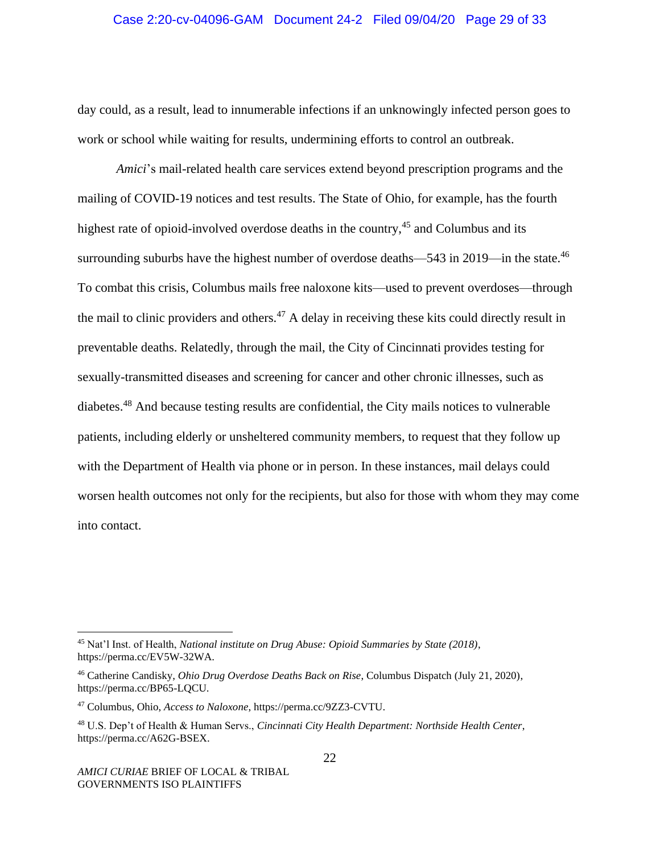#### Case 2:20-cv-04096-GAM Document 24-2 Filed 09/04/20 Page 29 of 33

day could, as a result, lead to innumerable infections if an unknowingly infected person goes to work or school while waiting for results, undermining efforts to control an outbreak.

*Amici*'s mail-related health care services extend beyond prescription programs and the mailing of COVID-19 notices and test results. The State of Ohio, for example, has the fourth highest rate of opioid-involved overdose deaths in the country,  $45$  and Columbus and its surrounding suburbs have the highest number of overdose deaths—543 in 2019—in the state.<sup>46</sup> To combat this crisis, Columbus mails free naloxone kits—used to prevent overdoses—through the mail to clinic providers and others.<sup>47</sup> A delay in receiving these kits could directly result in preventable deaths. Relatedly, through the mail, the City of Cincinnati provides testing for sexually-transmitted diseases and screening for cancer and other chronic illnesses, such as diabetes.<sup>48</sup> And because testing results are confidential, the City mails notices to vulnerable patients, including elderly or unsheltered community members, to request that they follow up with the Department of Health via phone or in person. In these instances, mail delays could worsen health outcomes not only for the recipients, but also for those with whom they may come into contact.

<sup>45</sup> Nat'l Inst. of Health, *National institute on Drug Abuse: Opioid Summaries by State (2018)*, https://perma.cc/EV5W-32WA.

<sup>46</sup> Catherine Candisky, *Ohio Drug Overdose Deaths Back on Rise*, Columbus Dispatch (July 21, 2020), https://perma.cc/BP65-LQCU.

<sup>47</sup> Columbus, Ohio, *Access to Naloxone*[, https://perma.cc/9ZZ3-CVTU.](https://perma.cc/9ZZ3-CVTU)

<sup>48</sup> U.S. Dep't of Health & Human Servs., *Cincinnati City Health Department: Northside Health Center*, https://perma.cc/A62G-BSEX.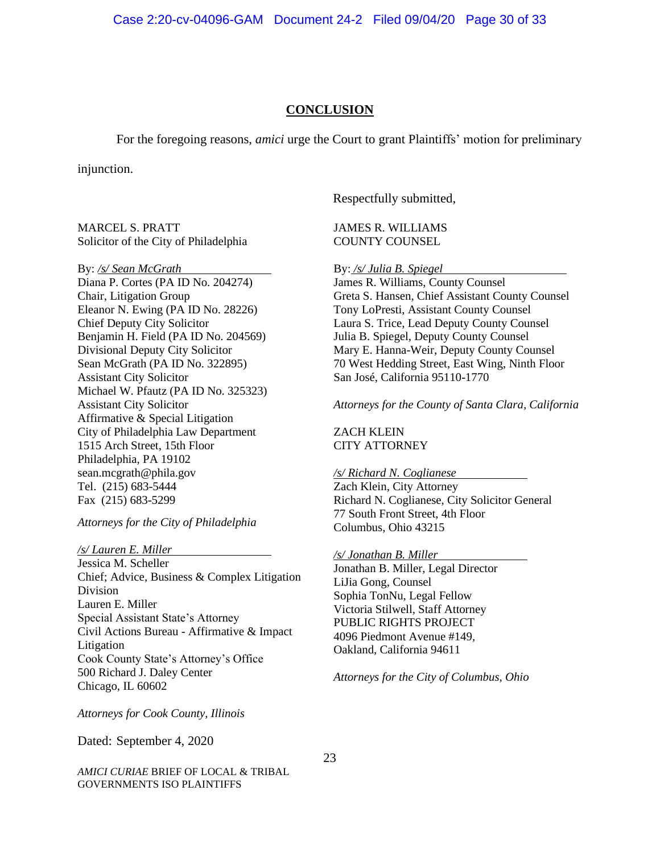#### **CONCLUSION**

For the foregoing reasons, *amici* urge the Court to grant Plaintiffs' motion for preliminary

injunction.

MARCEL S. PRATT Solicitor of the City of Philadelphia

By: */s/ Sean McGrath* Diana P. Cortes (PA ID No. 204274) Chair, Litigation Group Eleanor N. Ewing (PA ID No. 28226) Chief Deputy City Solicitor Benjamin H. Field (PA ID No. 204569) Divisional Deputy City Solicitor Sean McGrath (PA ID No. 322895) Assistant City Solicitor Michael W. Pfautz (PA ID No. 325323) Assistant City Solicitor Affirmative & Special Litigation City of Philadelphia Law Department 1515 Arch Street, 15th Floor Philadelphia, PA 19102 sean.mcgrath@phila.gov Tel. (215) 683-5444 Fax (215) 683-5299

*Attorneys for the City of Philadelphia*

*/s/ Lauren E. Miller* Jessica M. Scheller Chief; Advice, Business & Complex Litigation Division Lauren E. Miller Special Assistant State's Attorney Civil Actions Bureau - Affirmative & Impact Litigation Cook County State's Attorney's Office 500 Richard J. Daley Center Chicago, IL 60602

Respectfully submitted,

JAMES R. WILLIAMS COUNTY COUNSEL

By: */s/ Julia B. Spiegel*

James R. Williams, County Counsel Greta S. Hansen, Chief Assistant County Counsel Tony LoPresti, Assistant County Counsel Laura S. Trice, Lead Deputy County Counsel Julia B. Spiegel, Deputy County Counsel Mary E. Hanna-Weir, Deputy County Counsel 70 West Hedding Street, East Wing, Ninth Floor San José, California 95110-1770

*Attorneys for the County of Santa Clara, California*

ZACH KLEIN CITY ATTORNEY

*/s/ Richard N. Coglianese*

Zach Klein, City Attorney Richard N. Coglianese, City Solicitor General 77 South Front Street, 4th Floor Columbus, Ohio 43215

*/s/ Jonathan B. Miller* Jonathan B. Miller, Legal Director LiJia Gong, Counsel Sophia TonNu, Legal Fellow Victoria Stilwell, Staff Attorney PUBLIC RIGHTS PROJECT 4096 Piedmont Avenue #149, Oakland, California 94611

*Attorneys for the City of Columbus, Ohio*

*Attorneys for Cook County, Illinois*

Dated: September 4, 2020

*AMICI CURIAE* BRIEF OF LOCAL & TRIBAL GOVERNMENTS ISO PLAINTIFFS

23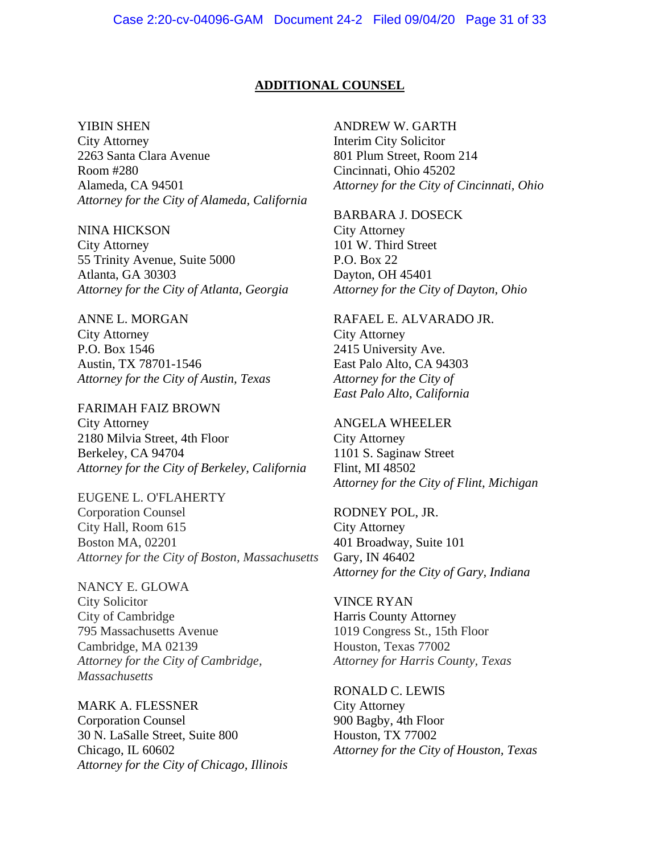### **ADDITIONAL COUNSEL**

#### YIBIN SHEN

City Attorney 2263 Santa Clara Avenue Room #280 Alameda, CA 94501 *Attorney for the City of Alameda, California*

NINA HICKSON City Attorney 55 Trinity Avenue, Suite 5000 Atlanta, GA 30303 *Attorney for the City of Atlanta, Georgia*

ANNE L. MORGAN City Attorney P.O. Box 1546 Austin, TX 78701-1546 *Attorney for the City of Austin, Texas*

FARIMAH FAIZ BROWN City Attorney 2180 Milvia Street, 4th Floor Berkeley, CA 94704 *Attorney for the City of Berkeley, California*

EUGENE L. O'FLAHERTY Corporation Counsel City Hall, Room 615 Boston MA, 02201 *Attorney for the City of Boston, Massachusetts*

NANCY E. GLOWA City Solicitor City of Cambridge 795 Massachusetts Avenue Cambridge, MA 02139 *Attorney for the City of Cambridge, Massachusetts*

MARK A. FLESSNER Corporation Counsel 30 N. LaSalle Street, Suite 800 Chicago, IL 60602 *Attorney for the City of Chicago, Illinois*

ANDREW W. GARTH Interim City Solicitor 801 Plum Street, Room 214 Cincinnati, Ohio 45202 *Attorney for the City of Cincinnati, Ohio*

BARBARA J. DOSECK City Attorney 101 W. Third Street P.O. Box 22 Dayton, OH 45401 *Attorney for the City of Dayton, Ohio*

RAFAEL E. ALVARADO JR. City Attorney 2415 University Ave. East Palo Alto, CA 94303 *Attorney for the City of East Palo Alto, California*

ANGELA WHEELER City Attorney 1101 S. Saginaw Street Flint, MI 48502 *Attorney for the City of Flint, Michigan*

RODNEY POL, JR. City Attorney 401 Broadway, Suite 101 Gary, IN 46402 *Attorney for the City of Gary, Indiana*

VINCE RYAN Harris County Attorney 1019 Congress St., 15th Floor Houston, Texas 77002 *Attorney for Harris County, Texas*

RONALD C. LEWIS City Attorney 900 Bagby, 4th Floor Houston, TX 77002 *Attorney for the City of Houston, Texas*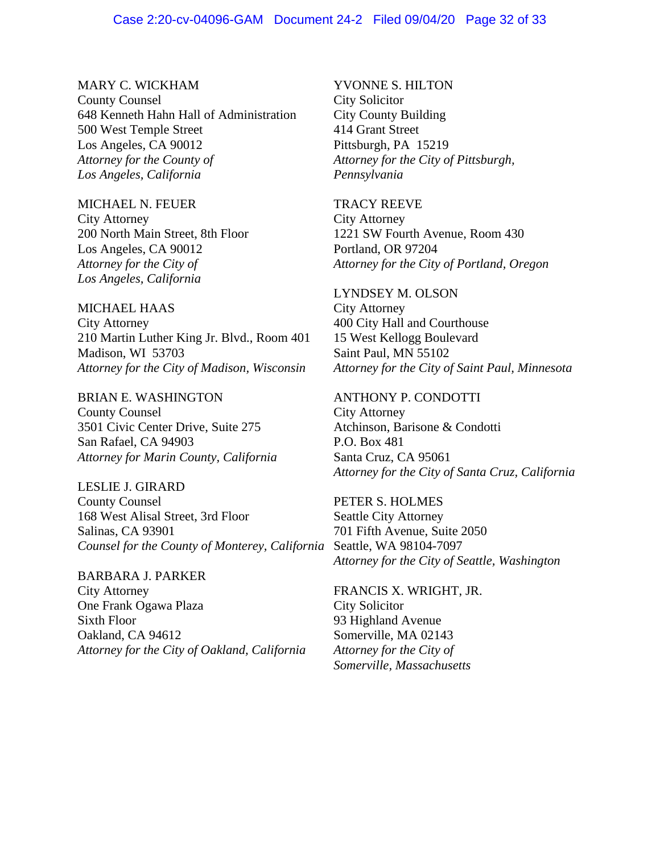#### Case 2:20-cv-04096-GAM Document 24-2 Filed 09/04/20 Page 32 of 33

MARY C. WICKHAM County Counsel 648 Kenneth Hahn Hall of Administration 500 West Temple Street Los Angeles, CA 90012 *Attorney for the County of Los Angeles, California*

#### MICHAEL N. FEUER

City Attorney 200 North Main Street, 8th Floor Los Angeles, CA 90012 *Attorney for the City of Los Angeles, California*

MICHAEL HAAS City Attorney 210 Martin Luther King Jr. Blvd., Room 401 Madison, WI 53703 *Attorney for the City of Madison, Wisconsin*

BRIAN E. WASHINGTON County Counsel 3501 Civic Center Drive, Suite 275 San Rafael, CA 94903 *Attorney for Marin County, California*

LESLIE J. GIRARD County Counsel 168 West Alisal Street, 3rd Floor Salinas, CA 93901 *Counsel for the County of Monterey, California*

BARBARA J. PARKER City Attorney One Frank Ogawa Plaza Sixth Floor Oakland, CA 94612 *Attorney for the City of Oakland, California*

YVONNE S. HILTON City Solicitor City County Building 414 Grant Street Pittsburgh, PA 15219 *Attorney for the City of Pittsburgh, Pennsylvania*

TRACY REEVE

City Attorney 1221 SW Fourth Avenue, Room 430 Portland, OR 97204 *Attorney for the City of Portland, Oregon*

LYNDSEY M. OLSON City Attorney 400 City Hall and Courthouse 15 West Kellogg Boulevard Saint Paul, MN 55102 *Attorney for the City of Saint Paul, Minnesota*

ANTHONY P. CONDOTTI City Attorney Atchinson, Barisone & Condotti P.O. Box 481

Santa Cruz, CA 95061 *Attorney for the City of Santa Cruz, California*

PETER S. HOLMES Seattle City Attorney 701 Fifth Avenue, Suite 2050 Seattle, WA 98104-7097 *Attorney for the City of Seattle, Washington*

FRANCIS X. WRIGHT, JR. City Solicitor 93 Highland Avenue Somerville, MA 02143 *Attorney for the City of Somerville, Massachusetts*